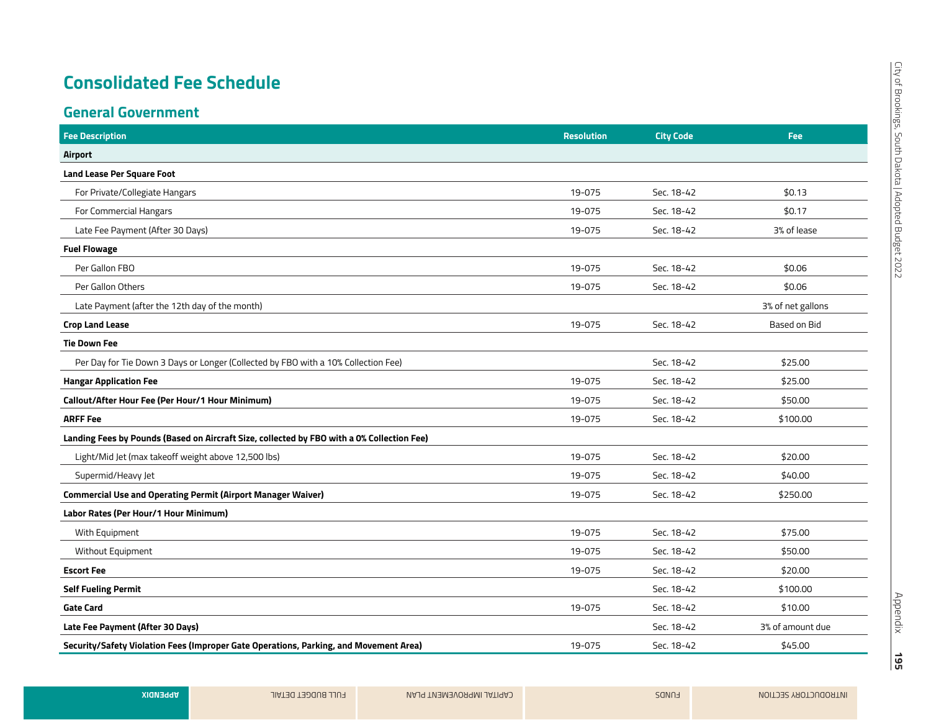#### **General Government**

| <b>Fee Description</b>                                                                     | <b>Resolution</b> | <b>City Code</b> | Fee               |
|--------------------------------------------------------------------------------------------|-------------------|------------------|-------------------|
| Airport                                                                                    |                   |                  |                   |
| <b>Land Lease Per Square Foot</b>                                                          |                   |                  |                   |
| For Private/Collegiate Hangars                                                             | 19-075            | Sec. 18-42       | \$0.13            |
| For Commercial Hangars                                                                     | 19-075            | Sec. 18-42       | \$0.17            |
| Late Fee Payment (After 30 Days)                                                           | 19-075            | Sec. 18-42       | 3% of lease       |
| <b>Fuel Flowage</b>                                                                        |                   |                  |                   |
| Per Gallon FBO                                                                             | 19-075            | Sec. 18-42       | \$0.06            |
| Per Gallon Others                                                                          | 19-075            | Sec. 18-42       | \$0.06            |
| Late Payment (after the 12th day of the month)                                             |                   |                  | 3% of net gallons |
| <b>Crop Land Lease</b>                                                                     | 19-075            | Sec. 18-42       | Based on Bid      |
| <b>Tie Down Fee</b>                                                                        |                   |                  |                   |
| Per Day for Tie Down 3 Days or Longer (Collected by FBO with a 10% Collection Fee)         |                   | Sec. 18-42       | \$25.00           |
| <b>Hangar Application Fee</b>                                                              | 19-075            | Sec. 18-42       | \$25.00           |
| Callout/After Hour Fee (Per Hour/1 Hour Minimum)                                           | 19-075            | Sec. 18-42       | \$50.00           |
| <b>ARFF Fee</b>                                                                            | 19-075            | Sec. 18-42       | \$100.00          |
| Landing Fees by Pounds (Based on Aircraft Size, collected by FBO with a 0% Collection Fee) |                   |                  |                   |
| Light/Mid Jet (max takeoff weight above 12,500 lbs)                                        | 19-075            | Sec. 18-42       | \$20.00           |
| Supermid/Heavy Jet                                                                         | 19-075            | Sec. 18-42       | \$40.00           |
| <b>Commercial Use and Operating Permit (Airport Manager Waiver)</b>                        | 19-075            | Sec. 18-42       | \$250.00          |
| Labor Rates (Per Hour/1 Hour Minimum)                                                      |                   |                  |                   |
| With Equipment                                                                             | 19-075            | Sec. 18-42       | \$75.00           |
| Without Equipment                                                                          | 19-075            | Sec. 18-42       | \$50.00           |
| <b>Escort Fee</b>                                                                          | 19-075            | Sec. 18-42       | \$20.00           |
| <b>Self Fueling Permit</b>                                                                 |                   | Sec. 18-42       | \$100.00          |
| <b>Gate Card</b>                                                                           | 19-075            | Sec. 18-42       | \$10.00           |
| Late Fee Payment (After 30 Days)                                                           |                   | Sec. 18-42       | 3% of amount due  |
| Security/Safety Violation Fees (Improper Gate Operations, Parking, and Movement Area)      | 19-075            | Sec. 18-42       | \$45.00           |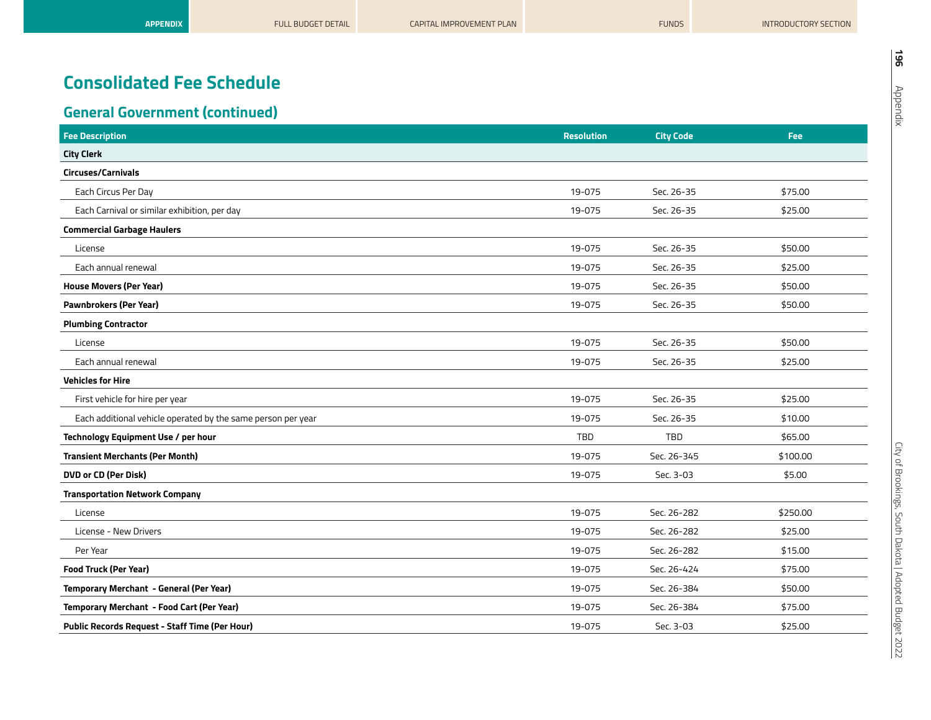| <b>Fee Description</b>                                       | <b>Resolution</b> | <b>City Code</b> | Fee      |
|--------------------------------------------------------------|-------------------|------------------|----------|
| <b>City Clerk</b>                                            |                   |                  |          |
| Circuses/Carnivals                                           |                   |                  |          |
| Each Circus Per Day                                          | 19-075            | Sec. 26-35       | \$75.00  |
| Each Carnival or similar exhibition, per day                 | 19-075            | Sec. 26-35       | \$25.00  |
| <b>Commercial Garbage Haulers</b>                            |                   |                  |          |
| License                                                      | 19-075            | Sec. 26-35       | \$50.00  |
| Each annual renewal                                          | 19-075            | Sec. 26-35       | \$25.00  |
| <b>House Movers (Per Year)</b>                               | 19-075            | Sec. 26-35       | \$50.00  |
| <b>Pawnbrokers (Per Year)</b>                                | 19-075            | Sec. 26-35       | \$50.00  |
| <b>Plumbing Contractor</b>                                   |                   |                  |          |
| License                                                      | 19-075            | Sec. 26-35       | \$50.00  |
| Each annual renewal                                          | 19-075            | Sec. 26-35       | \$25.00  |
| <b>Vehicles for Hire</b>                                     |                   |                  |          |
| First vehicle for hire per year                              | 19-075            | Sec. 26-35       | \$25.00  |
| Each additional vehicle operated by the same person per year | 19-075            | Sec. 26-35       | \$10.00  |
| Technology Equipment Use / per hour                          | TBD               | TBD              | \$65.00  |
| <b>Transient Merchants (Per Month)</b>                       | 19-075            | Sec. 26-345      | \$100.00 |
| <b>DVD or CD (Per Disk)</b>                                  | 19-075            | Sec. 3-03        | \$5.00   |
| <b>Transportation Network Company</b>                        |                   |                  |          |
| License                                                      | 19-075            | Sec. 26-282      | \$250.00 |
| License - New Drivers                                        | 19-075            | Sec. 26-282      | \$25.00  |
| Per Year                                                     | 19-075            | Sec. 26-282      | \$15.00  |
| <b>Food Truck (Per Year)</b>                                 | 19-075            | Sec. 26-424      | \$75.00  |
| Temporary Merchant - General (Per Year)                      | 19-075            | Sec. 26-384      | \$50.00  |
| Temporary Merchant - Food Cart (Per Year)                    | 19-075            | Sec. 26-384      | \$75.00  |
| Public Records Request - Staff Time (Per Hour)               | 19-075            | Sec. 3-03        | \$25.00  |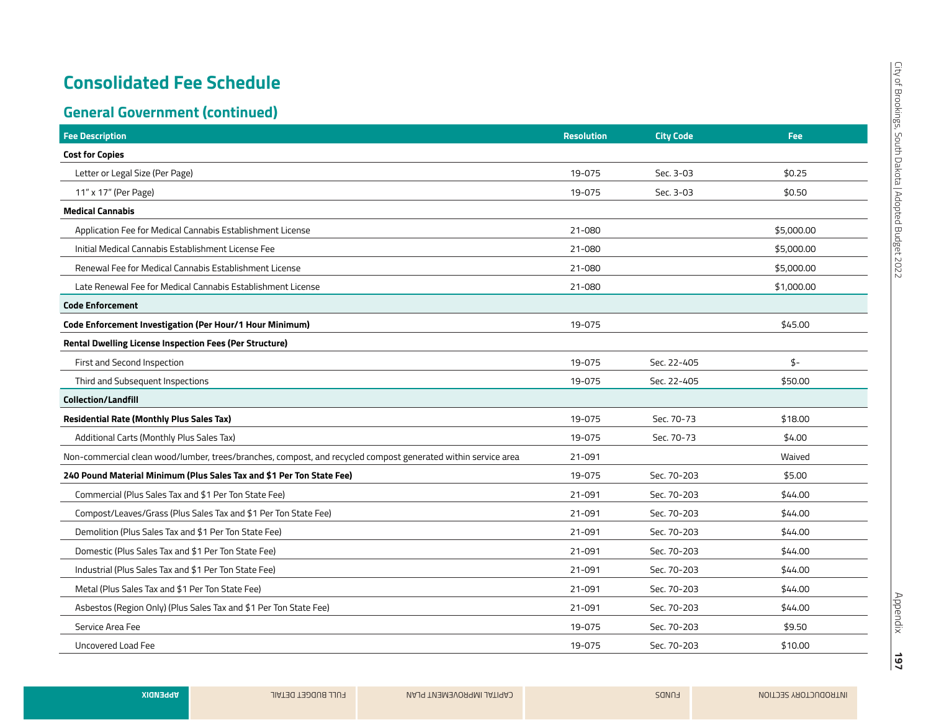| <b>Fee Description</b>                                                                                        | <b>Resolution</b> | <b>City Code</b> | <b>Fee</b>    |
|---------------------------------------------------------------------------------------------------------------|-------------------|------------------|---------------|
| <b>Cost for Copies</b>                                                                                        |                   |                  |               |
| Letter or Legal Size (Per Page)                                                                               | 19-075            | Sec. 3-03        | \$0.25        |
| 11" x 17" (Per Page)                                                                                          | 19-075            | Sec. 3-03        | \$0.50        |
| <b>Medical Cannabis</b>                                                                                       |                   |                  |               |
| Application Fee for Medical Cannabis Establishment License                                                    | 21-080            |                  | \$5,000.00    |
| Initial Medical Cannabis Establishment License Fee                                                            | 21-080            |                  | \$5,000.00    |
| Renewal Fee for Medical Cannabis Establishment License                                                        | 21-080            |                  | \$5,000.00    |
| Late Renewal Fee for Medical Cannabis Establishment License                                                   | 21-080            |                  | \$1,000.00    |
| <b>Code Enforcement</b>                                                                                       |                   |                  |               |
| Code Enforcement Investigation (Per Hour/1 Hour Minimum)                                                      | 19-075            |                  | \$45.00       |
| Rental Dwelling License Inspection Fees (Per Structure)                                                       |                   |                  |               |
| First and Second Inspection                                                                                   | 19-075            | Sec. 22-405      | $\frac{4}{5}$ |
| Third and Subsequent Inspections                                                                              | 19-075            | Sec. 22-405      | \$50.00       |
| <b>Collection/Landfill</b>                                                                                    |                   |                  |               |
| <b>Residential Rate (Monthly Plus Sales Tax)</b>                                                              | 19-075            | Sec. 70-73       | \$18.00       |
| Additional Carts (Monthly Plus Sales Tax)                                                                     | 19-075            | Sec. 70-73       | \$4.00        |
| Non-commercial clean wood/lumber, trees/branches, compost, and recycled compost generated within service area | 21-091            |                  | Waived        |
| 240 Pound Material Minimum (Plus Sales Tax and \$1 Per Ton State Fee)                                         | 19-075            | Sec. 70-203      | \$5.00        |
| Commercial (Plus Sales Tax and \$1 Per Ton State Fee)                                                         | 21-091            | Sec. 70-203      | \$44.00       |
| Compost/Leaves/Grass (Plus Sales Tax and \$1 Per Ton State Fee)                                               | 21-091            | Sec. 70-203      | \$44.00       |
| Demolition (Plus Sales Tax and \$1 Per Ton State Fee)                                                         | 21-091            | Sec. 70-203      | \$44.00       |
| Domestic (Plus Sales Tax and \$1 Per Ton State Fee)                                                           | 21-091            | Sec. 70-203      | \$44.00       |
| Industrial (Plus Sales Tax and \$1 Per Ton State Fee)                                                         | 21-091            | Sec. 70-203      | \$44.00       |
| Metal (Plus Sales Tax and \$1 Per Ton State Fee)                                                              | 21-091            | Sec. 70-203      | \$44.00       |
| Asbestos (Region Only) (Plus Sales Tax and \$1 Per Ton State Fee)                                             | 21-091            | Sec. 70-203      | \$44.00       |
| Service Area Fee                                                                                              | 19-075            | Sec. 70-203      | \$9.50        |
| Uncovered Load Fee                                                                                            | 19-075            | Sec. 70-203      | \$10.00       |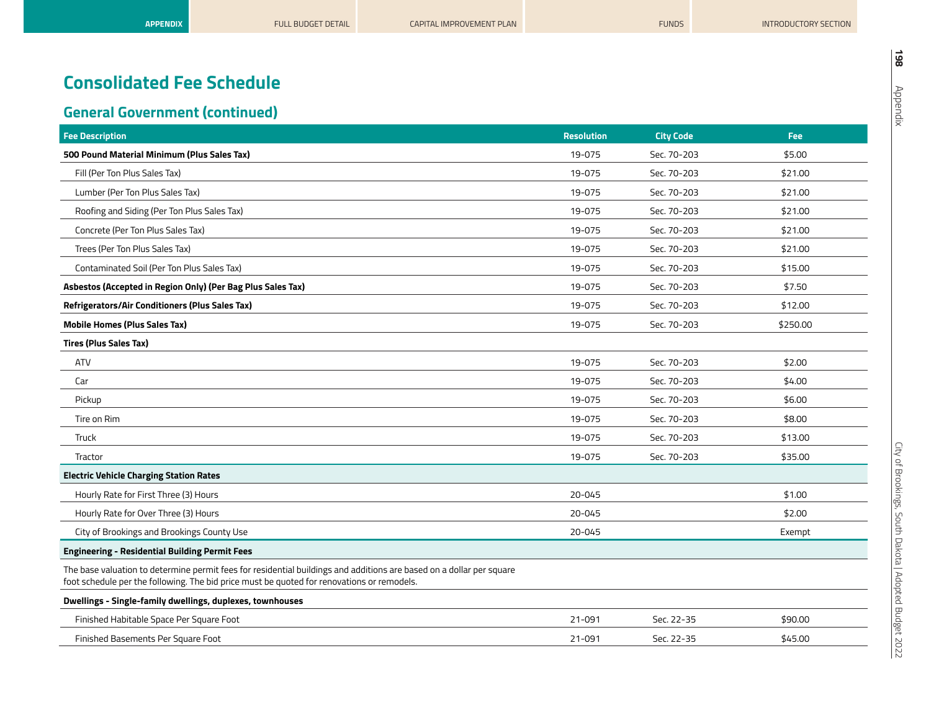| <b>Fee Description</b>                                                                                                                                                                                             | <b>Resolution</b> | <b>City Code</b> | <b>Fee</b> |
|--------------------------------------------------------------------------------------------------------------------------------------------------------------------------------------------------------------------|-------------------|------------------|------------|
| 500 Pound Material Minimum (Plus Sales Tax)                                                                                                                                                                        | 19-075            | Sec. 70-203      | \$5.00     |
| Fill (Per Ton Plus Sales Tax)                                                                                                                                                                                      | 19-075            | Sec. 70-203      | \$21.00    |
| Lumber (Per Ton Plus Sales Tax)                                                                                                                                                                                    | 19-075            | Sec. 70-203      | \$21.00    |
| Roofing and Siding (Per Ton Plus Sales Tax)                                                                                                                                                                        | 19-075            | Sec. 70-203      | \$21.00    |
| Concrete (Per Ton Plus Sales Tax)                                                                                                                                                                                  | 19-075            | Sec. 70-203      | \$21.00    |
| Trees (Per Ton Plus Sales Tax)                                                                                                                                                                                     | 19-075            | Sec. 70-203      | \$21.00    |
| Contaminated Soil (Per Ton Plus Sales Tax)                                                                                                                                                                         | 19-075            | Sec. 70-203      | \$15.00    |
| Asbestos (Accepted in Region Only) (Per Bag Plus Sales Tax)                                                                                                                                                        | 19-075            | Sec. 70-203      | \$7.50     |
| <b>Refrigerators/Air Conditioners (Plus Sales Tax)</b>                                                                                                                                                             | 19-075            | Sec. 70-203      | \$12.00    |
| <b>Mobile Homes (Plus Sales Tax)</b>                                                                                                                                                                               | 19-075            | Sec. 70-203      | \$250.00   |
| <b>Tires (Plus Sales Tax)</b>                                                                                                                                                                                      |                   |                  |            |
| <b>ATV</b>                                                                                                                                                                                                         | 19-075            | Sec. 70-203      | \$2.00     |
| Car                                                                                                                                                                                                                | 19-075            | Sec. 70-203      | \$4.00     |
| Pickup                                                                                                                                                                                                             | 19-075            | Sec. 70-203      | \$6.00     |
| Tire on Rim                                                                                                                                                                                                        | 19-075            | Sec. 70-203      | \$8.00     |
| Truck                                                                                                                                                                                                              | 19-075            | Sec. 70-203      | \$13.00    |
| Tractor                                                                                                                                                                                                            | 19-075            | Sec. 70-203      | \$35.00    |
| <b>Electric Vehicle Charging Station Rates</b>                                                                                                                                                                     |                   |                  |            |
| Hourly Rate for First Three (3) Hours                                                                                                                                                                              | 20-045            |                  | \$1.00     |
| Hourly Rate for Over Three (3) Hours                                                                                                                                                                               | $20 - 045$        |                  | \$2.00     |
| City of Brookings and Brookings County Use                                                                                                                                                                         | $20 - 045$        |                  | Exempt     |
| <b>Engineering - Residential Building Permit Fees</b>                                                                                                                                                              |                   |                  |            |
| The base valuation to determine permit fees for residential buildings and additions are based on a dollar per square<br>foot schedule per the following. The bid price must be quoted for renovations or remodels. |                   |                  |            |
| Dwellings - Single-family dwellings, duplexes, townhouses                                                                                                                                                          |                   |                  |            |
| Finished Habitable Space Per Square Foot                                                                                                                                                                           | 21-091            | Sec. 22-35       | \$90.00    |
| Finished Basements Per Square Foot                                                                                                                                                                                 | 21-091            | Sec. 22-35       | \$45.00    |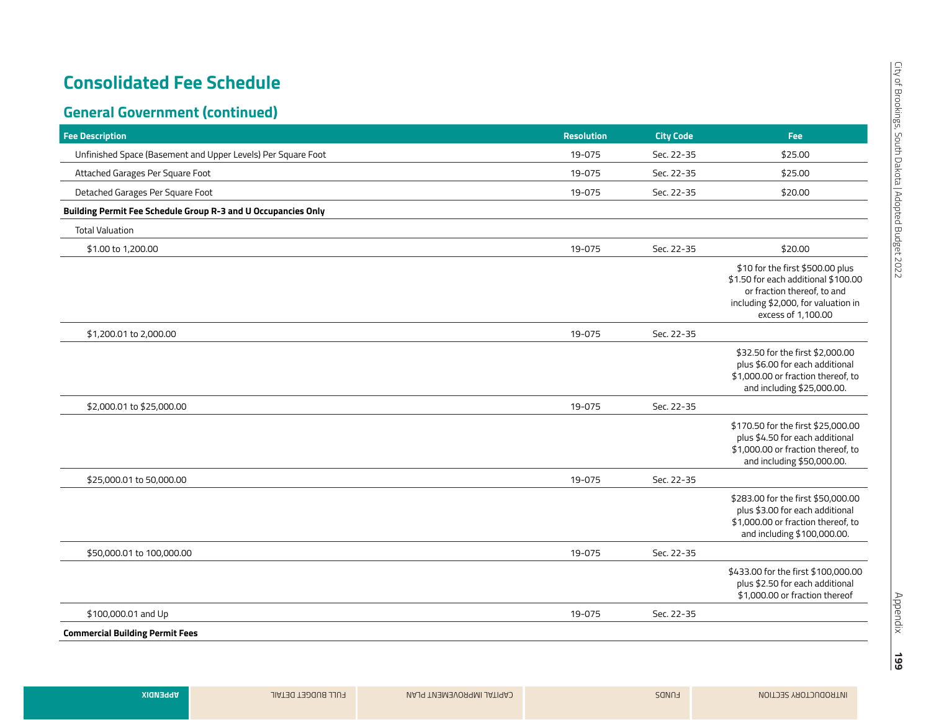| <b>Fee Description</b>                                        | <b>Resolution</b> | <b>City Code</b> | Fee                                                                                                                                                                 |
|---------------------------------------------------------------|-------------------|------------------|---------------------------------------------------------------------------------------------------------------------------------------------------------------------|
| Unfinished Space (Basement and Upper Levels) Per Square Foot  | 19-075            | Sec. 22-35       | \$25.00                                                                                                                                                             |
| Attached Garages Per Square Foot                              | 19-075            | Sec. 22-35       | \$25.00                                                                                                                                                             |
| Detached Garages Per Square Foot                              | 19-075            | Sec. 22-35       | \$20.00                                                                                                                                                             |
| Building Permit Fee Schedule Group R-3 and U Occupancies Only |                   |                  |                                                                                                                                                                     |
| <b>Total Valuation</b>                                        |                   |                  |                                                                                                                                                                     |
| \$1.00 to 1,200.00                                            | 19-075            | Sec. 22-35       | \$20.00                                                                                                                                                             |
|                                                               |                   |                  | \$10 for the first \$500.00 plus<br>\$1.50 for each additional \$100.00<br>or fraction thereof, to and<br>including \$2,000, for valuation in<br>excess of 1,100.00 |
| \$1,200.01 to 2,000.00                                        | 19-075            | Sec. 22-35       |                                                                                                                                                                     |
|                                                               |                   |                  | \$32.50 for the first \$2,000.00<br>plus \$6.00 for each additional<br>\$1,000.00 or fraction thereof, to<br>and including \$25,000.00.                             |
| \$2,000.01 to \$25,000.00                                     | 19-075            | Sec. 22-35       |                                                                                                                                                                     |
|                                                               |                   |                  | \$170.50 for the first \$25,000.00<br>plus \$4.50 for each additional<br>\$1,000.00 or fraction thereof, to<br>and including \$50,000.00.                           |
| \$25,000.01 to 50,000.00                                      | 19-075            | Sec. 22-35       |                                                                                                                                                                     |
|                                                               |                   |                  | \$283.00 for the first \$50,000.00<br>plus \$3.00 for each additional<br>\$1,000.00 or fraction thereof, to<br>and including \$100,000.00.                          |
| \$50,000.01 to 100,000.00                                     | 19-075            | Sec. 22-35       |                                                                                                                                                                     |
|                                                               |                   |                  | \$433.00 for the first \$100,000.00<br>plus \$2.50 for each additional<br>\$1,000.00 or fraction thereof                                                            |
| \$100,000.01 and Up                                           | 19-075            | Sec. 22-35       |                                                                                                                                                                     |
| <b>Commercial Building Permit Fees</b>                        |                   |                  |                                                                                                                                                                     |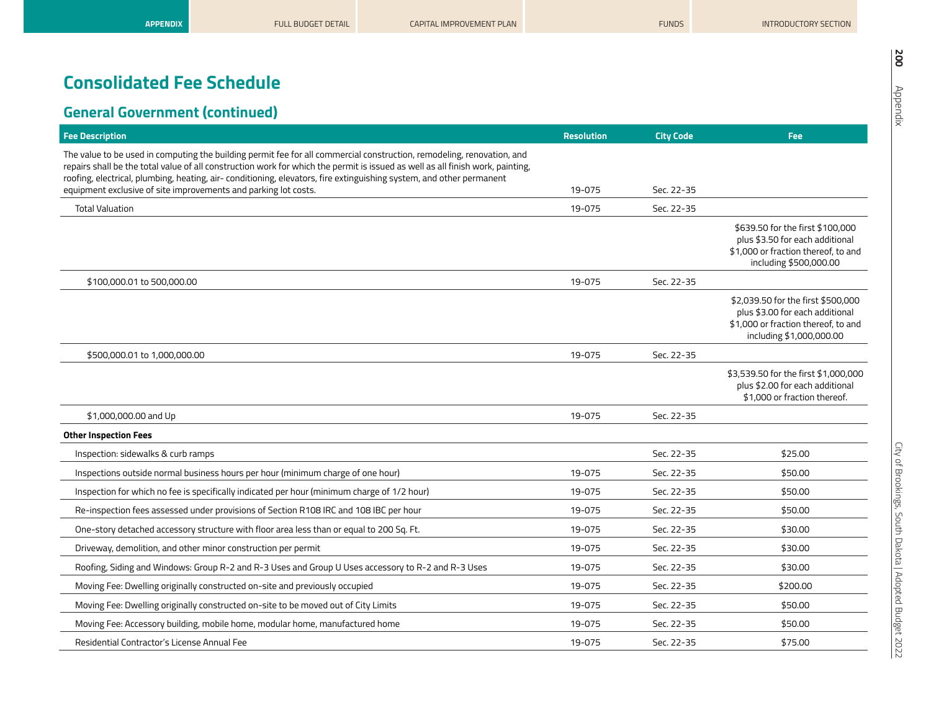| <b>Fee Description</b>                                                                                                                                                                                                                                                                                                                                                           | <b>Resolution</b> | <b>City Code</b> | <b>Fee</b>                                                                                                                               |
|----------------------------------------------------------------------------------------------------------------------------------------------------------------------------------------------------------------------------------------------------------------------------------------------------------------------------------------------------------------------------------|-------------------|------------------|------------------------------------------------------------------------------------------------------------------------------------------|
| The value to be used in computing the building permit fee for all commercial construction, remodeling, renovation, and<br>repairs shall be the total value of all construction work for which the permit is issued as well as all finish work, painting,<br>roofing, electrical, plumbing, heating, air- conditioning, elevators, fire extinguishing system, and other permanent |                   |                  |                                                                                                                                          |
| equipment exclusive of site improvements and parking lot costs.                                                                                                                                                                                                                                                                                                                  | 19-075            | Sec. 22-35       |                                                                                                                                          |
| <b>Total Valuation</b>                                                                                                                                                                                                                                                                                                                                                           | 19-075            | Sec. 22-35       |                                                                                                                                          |
|                                                                                                                                                                                                                                                                                                                                                                                  |                   |                  | \$639.50 for the first \$100,000<br>plus \$3.50 for each additional<br>\$1,000 or fraction thereof, to and<br>including \$500,000.00     |
| \$100,000.01 to 500,000.00                                                                                                                                                                                                                                                                                                                                                       | 19-075            | Sec. 22-35       |                                                                                                                                          |
|                                                                                                                                                                                                                                                                                                                                                                                  |                   |                  | \$2,039.50 for the first \$500,000<br>plus \$3.00 for each additional<br>\$1,000 or fraction thereof, to and<br>including \$1,000,000.00 |
| \$500,000.01 to 1,000,000.00                                                                                                                                                                                                                                                                                                                                                     | 19-075            | Sec. 22-35       |                                                                                                                                          |
|                                                                                                                                                                                                                                                                                                                                                                                  |                   |                  | \$3,539.50 for the first \$1,000,000<br>plus \$2.00 for each additional<br>\$1,000 or fraction thereof.                                  |
| \$1,000,000.00 and Up                                                                                                                                                                                                                                                                                                                                                            | 19-075            | Sec. 22-35       |                                                                                                                                          |
| <b>Other Inspection Fees</b>                                                                                                                                                                                                                                                                                                                                                     |                   |                  |                                                                                                                                          |
| Inspection: sidewalks & curb ramps                                                                                                                                                                                                                                                                                                                                               |                   | Sec. 22-35       | \$25.00                                                                                                                                  |
| Inspections outside normal business hours per hour (minimum charge of one hour)                                                                                                                                                                                                                                                                                                  | 19-075            | Sec. 22-35       | \$50.00                                                                                                                                  |
| Inspection for which no fee is specifically indicated per hour (minimum charge of 1/2 hour)                                                                                                                                                                                                                                                                                      | 19-075            | Sec. 22-35       | \$50.00                                                                                                                                  |
| Re-inspection fees assessed under provisions of Section R108 IRC and 108 IBC per hour                                                                                                                                                                                                                                                                                            | 19-075            | Sec. 22-35       | \$50.00                                                                                                                                  |
| One-story detached accessory structure with floor area less than or equal to 200 Sq. Ft.                                                                                                                                                                                                                                                                                         | 19-075            | Sec. 22-35       | \$30.00                                                                                                                                  |
| Driveway, demolition, and other minor construction per permit                                                                                                                                                                                                                                                                                                                    | 19-075            | Sec. 22-35       | \$30.00                                                                                                                                  |
| Roofing, Siding and Windows: Group R-2 and R-3 Uses and Group U Uses accessory to R-2 and R-3 Uses                                                                                                                                                                                                                                                                               | 19-075            | Sec. 22-35       | \$30.00                                                                                                                                  |
| Moving Fee: Dwelling originally constructed on-site and previously occupied                                                                                                                                                                                                                                                                                                      | 19-075            | Sec. 22-35       | \$200.00                                                                                                                                 |
| Moving Fee: Dwelling originally constructed on-site to be moved out of City Limits                                                                                                                                                                                                                                                                                               | 19-075            | Sec. 22-35       | \$50.00                                                                                                                                  |
| Moving Fee: Accessory building, mobile home, modular home, manufactured home                                                                                                                                                                                                                                                                                                     | 19-075            | Sec. 22-35       | \$50.00                                                                                                                                  |
| Residential Contractor's License Annual Fee                                                                                                                                                                                                                                                                                                                                      | 19-075            | Sec. 22-35       | \$75.00                                                                                                                                  |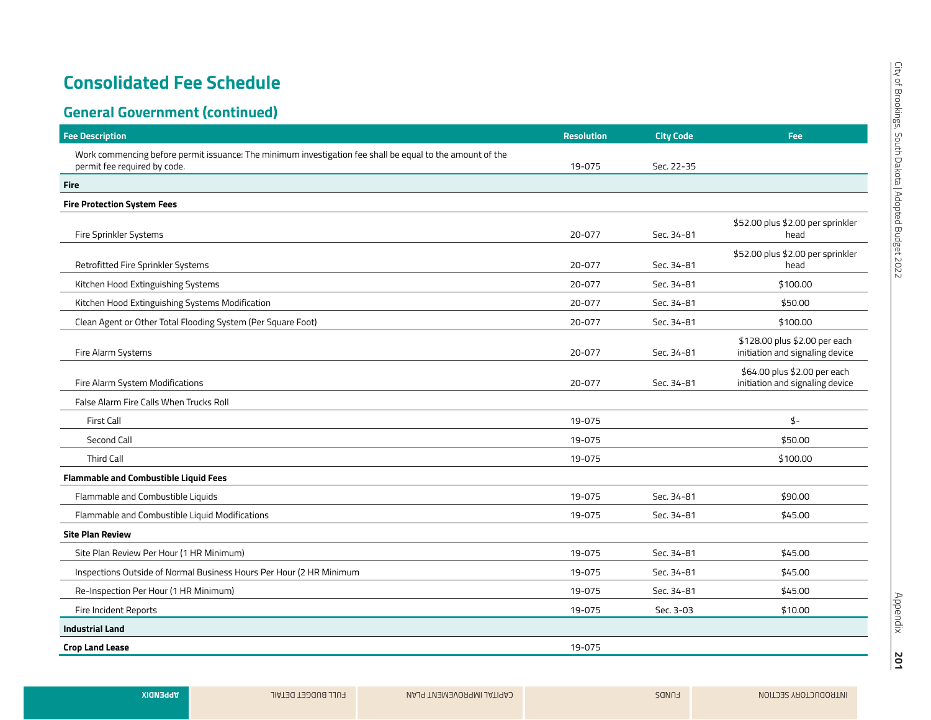| <b>Fee Description</b>                                                                                    | <b>Resolution</b> | <b>City Code</b> | Fee                                                              |
|-----------------------------------------------------------------------------------------------------------|-------------------|------------------|------------------------------------------------------------------|
| Work commencing before permit issuance: The minimum investigation fee shall be equal to the amount of the |                   |                  |                                                                  |
| permit fee required by code.                                                                              | 19-075            | Sec. 22-35       |                                                                  |
| <b>Fire</b>                                                                                               |                   |                  |                                                                  |
| <b>Fire Protection System Fees</b>                                                                        |                   |                  |                                                                  |
| Fire Sprinkler Systems                                                                                    | 20-077            | Sec. 34-81       | \$52.00 plus \$2.00 per sprinkler<br>head                        |
| Retrofitted Fire Sprinkler Systems                                                                        | 20-077            | Sec. 34-81       | \$52.00 plus \$2.00 per sprinkler<br>head                        |
| Kitchen Hood Extinguishing Systems                                                                        | 20-077            | Sec. 34-81       | \$100.00                                                         |
| Kitchen Hood Extinguishing Systems Modification                                                           | 20-077            | Sec. 34-81       | \$50.00                                                          |
| Clean Agent or Other Total Flooding System (Per Square Foot)                                              | 20-077            | Sec. 34-81       | \$100.00                                                         |
| Fire Alarm Systems                                                                                        | 20-077            | Sec. 34-81       | \$128.00 plus \$2.00 per each<br>initiation and signaling device |
| Fire Alarm System Modifications                                                                           | 20-077            | Sec. 34-81       | \$64.00 plus \$2.00 per each<br>initiation and signaling device  |
| False Alarm Fire Calls When Trucks Roll                                                                   |                   |                  |                                                                  |
| <b>First Call</b>                                                                                         | 19-075            |                  | \$-                                                              |
| Second Call                                                                                               | 19-075            |                  | \$50.00                                                          |
| <b>Third Call</b>                                                                                         | 19-075            |                  | \$100.00                                                         |
| <b>Flammable and Combustible Liquid Fees</b>                                                              |                   |                  |                                                                  |
| Flammable and Combustible Liquids                                                                         | 19-075            | Sec. 34-81       | \$90.00                                                          |
| Flammable and Combustible Liquid Modifications                                                            | 19-075            | Sec. 34-81       | \$45.00                                                          |
| <b>Site Plan Review</b>                                                                                   |                   |                  |                                                                  |
| Site Plan Review Per Hour (1 HR Minimum)                                                                  | 19-075            | Sec. 34-81       | \$45.00                                                          |
| Inspections Outside of Normal Business Hours Per Hour (2 HR Minimum                                       | 19-075            | Sec. 34-81       | \$45.00                                                          |
| Re-Inspection Per Hour (1 HR Minimum)                                                                     | 19-075            | Sec. 34-81       | \$45.00                                                          |
| Fire Incident Reports                                                                                     | 19-075            | Sec. 3-03        | \$10.00                                                          |
| <b>Industrial Land</b>                                                                                    |                   |                  |                                                                  |
| <b>Crop Land Lease</b>                                                                                    | 19-075            |                  |                                                                  |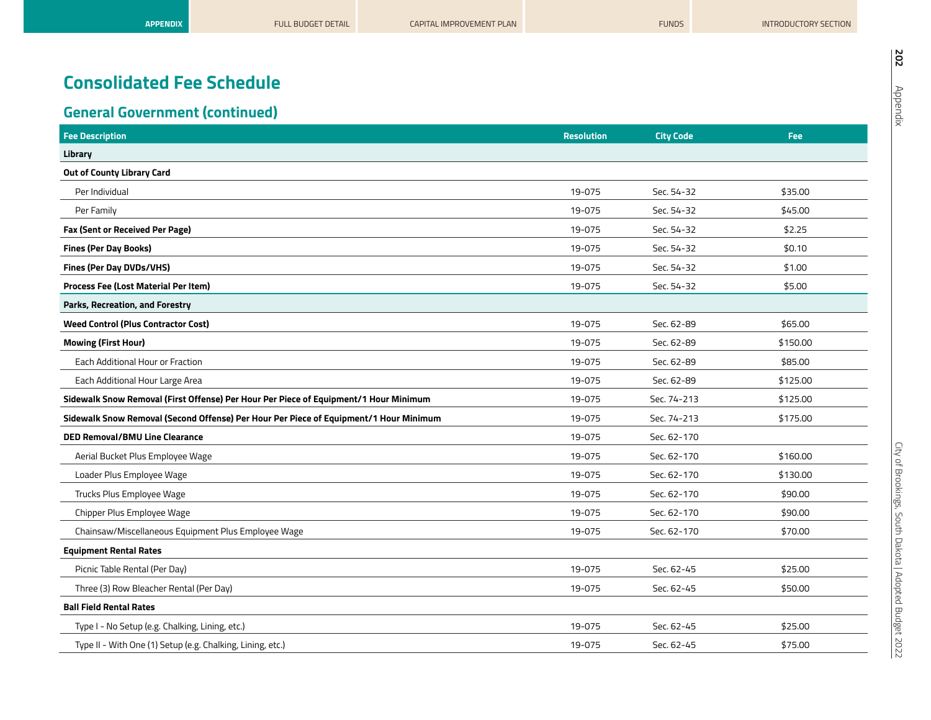| <b>Fee Description</b>                                                                | <b>Resolution</b> | <b>City Code</b> | Fee:     |
|---------------------------------------------------------------------------------------|-------------------|------------------|----------|
| Library                                                                               |                   |                  |          |
| Out of County Library Card                                                            |                   |                  |          |
| Per Individual                                                                        | 19-075            | Sec. 54-32       | \$35.00  |
| Per Family                                                                            | 19-075            | Sec. 54-32       | \$45.00  |
| Fax (Sent or Received Per Page)                                                       | 19-075            | Sec. 54-32       | \$2.25   |
| <b>Fines (Per Day Books)</b>                                                          | 19-075            | Sec. 54-32       | \$0.10   |
| Fines (Per Day DVDs/VHS)                                                              | 19-075            | Sec. 54-32       | \$1.00   |
| Process Fee (Lost Material Per Item)                                                  | 19-075            | Sec. 54-32       | \$5.00   |
| Parks, Recreation, and Forestry                                                       |                   |                  |          |
| <b>Weed Control (Plus Contractor Cost)</b>                                            | 19-075            | Sec. 62-89       | \$65.00  |
| <b>Mowing (First Hour)</b>                                                            | 19-075            | Sec. 62-89       | \$150.00 |
| Each Additional Hour or Fraction                                                      | 19-075            | Sec. 62-89       | \$85.00  |
| Each Additional Hour Large Area                                                       | 19-075            | Sec. 62-89       | \$125.00 |
| Sidewalk Snow Removal (First Offense) Per Hour Per Piece of Equipment/1 Hour Minimum  | 19-075            | Sec. 74-213      | \$125.00 |
| Sidewalk Snow Removal (Second Offense) Per Hour Per Piece of Equipment/1 Hour Minimum | 19-075            | Sec. 74-213      | \$175.00 |
| <b>DED Removal/BMU Line Clearance</b>                                                 | 19-075            | Sec. 62-170      |          |
| Aerial Bucket Plus Employee Wage                                                      | 19-075            | Sec. 62-170      | \$160.00 |
| Loader Plus Employee Wage                                                             | 19-075            | Sec. 62-170      | \$130.00 |
| Trucks Plus Employee Wage                                                             | 19-075            | Sec. 62-170      | \$90.00  |
| Chipper Plus Employee Wage                                                            | 19-075            | Sec. 62-170      | \$90.00  |
| Chainsaw/Miscellaneous Equipment Plus Employee Wage                                   | 19-075            | Sec. 62-170      | \$70.00  |
| <b>Equipment Rental Rates</b>                                                         |                   |                  |          |
| Picnic Table Rental (Per Day)                                                         | 19-075            | Sec. 62-45       | \$25.00  |
| Three (3) Row Bleacher Rental (Per Day)                                               | 19-075            | Sec. 62-45       | \$50.00  |
| <b>Ball Field Rental Rates</b>                                                        |                   |                  |          |
| Type I - No Setup (e.g. Chalking, Lining, etc.)                                       | 19-075            | Sec. 62-45       | \$25.00  |
| Type II - With One (1) Setup (e.g. Chalking, Lining, etc.)                            | 19-075            | Sec. 62-45       | \$75.00  |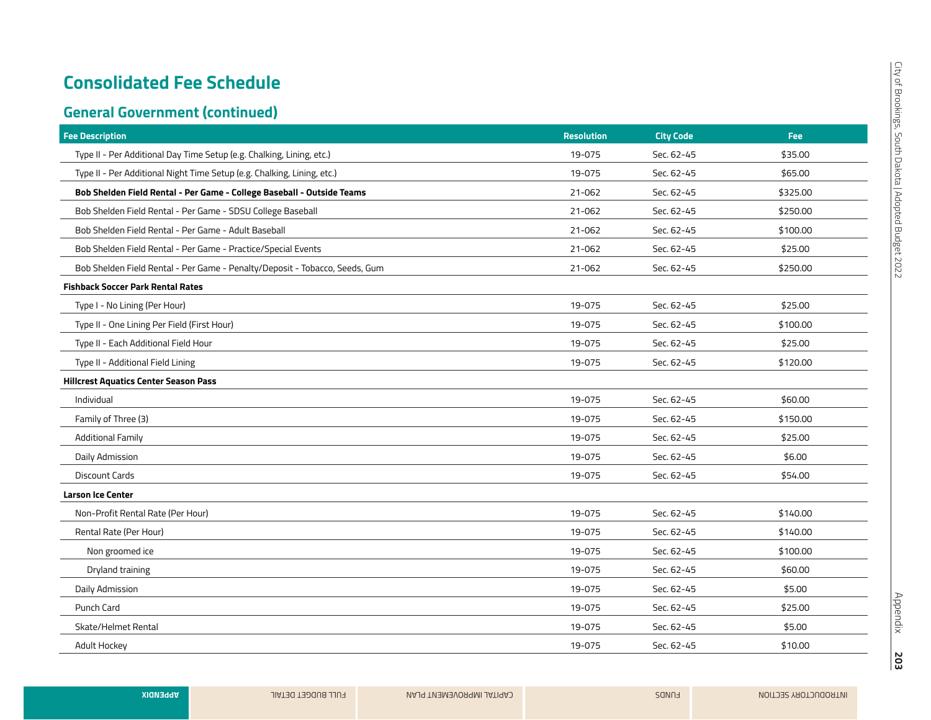| <b>Fee Description</b>                                                      | <b>Resolution</b> | <b>City Code</b> | Fee:     |
|-----------------------------------------------------------------------------|-------------------|------------------|----------|
| Type II - Per Additional Day Time Setup (e.g. Chalking, Lining, etc.)       | 19-075            | Sec. 62-45       | \$35.00  |
| Type II - Per Additional Night Time Setup (e.g. Chalking, Lining, etc.)     | 19-075            | Sec. 62-45       | \$65.00  |
| Bob Shelden Field Rental - Per Game - College Baseball - Outside Teams      | 21-062            | Sec. 62-45       | \$325.00 |
| Bob Shelden Field Rental - Per Game - SDSU College Baseball                 | 21-062            | Sec. 62-45       | \$250.00 |
| Bob Shelden Field Rental - Per Game - Adult Baseball                        | 21-062            | Sec. 62-45       | \$100.00 |
| Bob Shelden Field Rental - Per Game - Practice/Special Events               | 21-062            | Sec. 62-45       | \$25.00  |
| Bob Shelden Field Rental - Per Game - Penalty/Deposit - Tobacco, Seeds, Gum | 21-062            | Sec. 62-45       | \$250.00 |
| <b>Fishback Soccer Park Rental Rates</b>                                    |                   |                  |          |
| Type I - No Lining (Per Hour)                                               | 19-075            | Sec. 62-45       | \$25.00  |
| Type II - One Lining Per Field (First Hour)                                 | 19-075            | Sec. 62-45       | \$100.00 |
| Type II - Each Additional Field Hour                                        | 19-075            | Sec. 62-45       | \$25.00  |
| Type II - Additional Field Lining                                           | 19-075            | Sec. 62-45       | \$120.00 |
| <b>Hillcrest Aquatics Center Season Pass</b>                                |                   |                  |          |
| Individual                                                                  | 19-075            | Sec. 62-45       | \$60.00  |
| Family of Three (3)                                                         | 19-075            | Sec. 62-45       | \$150.00 |
| <b>Additional Family</b>                                                    | 19-075            | Sec. 62-45       | \$25.00  |
| Daily Admission                                                             | 19-075            | Sec. 62-45       | \$6.00   |
| <b>Discount Cards</b>                                                       | 19-075            | Sec. 62-45       | \$54.00  |
| <b>Larson Ice Center</b>                                                    |                   |                  |          |
| Non-Profit Rental Rate (Per Hour)                                           | 19-075            | Sec. 62-45       | \$140.00 |
| Rental Rate (Per Hour)                                                      | 19-075            | Sec. 62-45       | \$140.00 |
| Non groomed ice                                                             | 19-075            | Sec. 62-45       | \$100.00 |
| Dryland training                                                            | 19-075            | Sec. 62-45       | \$60.00  |
| Daily Admission                                                             | 19-075            | Sec. 62-45       | \$5.00   |
| Punch Card                                                                  | 19-075            | Sec. 62-45       | \$25.00  |
| Skate/Helmet Rental                                                         | 19-075            | Sec. 62-45       | \$5.00   |
| Adult Hockey                                                                | 19-075            | Sec. 62-45       | \$10.00  |
|                                                                             |                   |                  |          |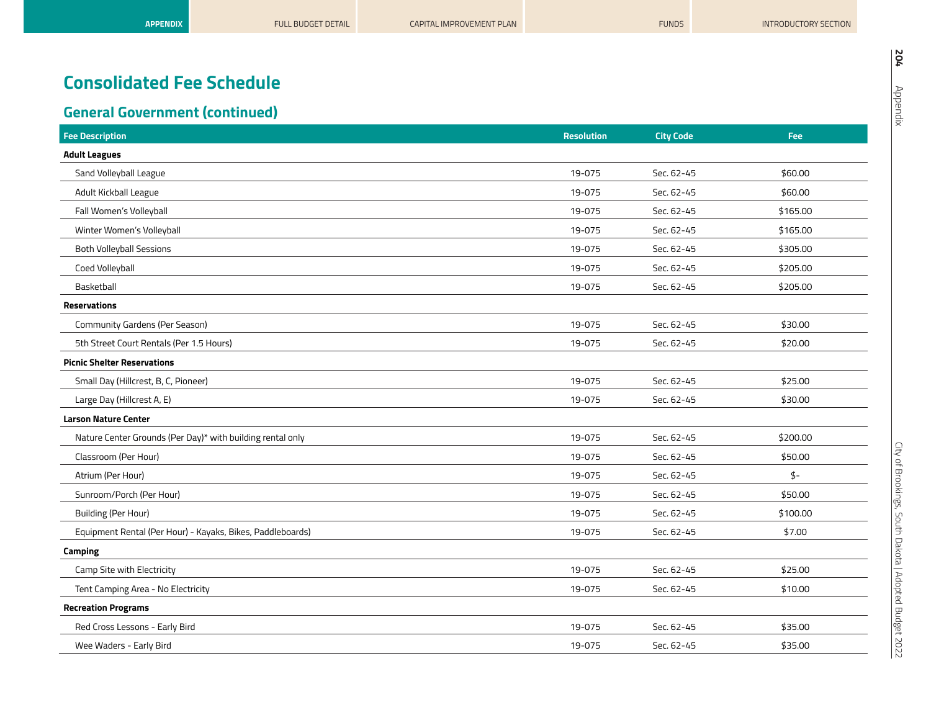| <b>Fee Description</b>                                     | <b>Resolution</b> | <b>City Code</b> | Fee:      |
|------------------------------------------------------------|-------------------|------------------|-----------|
| <b>Adult Leagues</b>                                       |                   |                  |           |
| Sand Volleyball League                                     | 19-075            | Sec. 62-45       | \$60.00   |
| Adult Kickball League                                      | 19-075            | Sec. 62-45       | \$60.00   |
| Fall Women's Volleyball                                    | 19-075            | Sec. 62-45       | \$165.00  |
| Winter Women's Volleyball                                  | 19-075            | Sec. 62-45       | \$165.00  |
| <b>Both Volleyball Sessions</b>                            | 19-075            | Sec. 62-45       | \$305.00  |
| Coed Volleyball                                            | 19-075            | Sec. 62-45       | \$205.00  |
| Basketball                                                 | 19-075            | Sec. 62-45       | \$205.00  |
| <b>Reservations</b>                                        |                   |                  |           |
| Community Gardens (Per Season)                             | 19-075            | Sec. 62-45       | \$30.00   |
| 5th Street Court Rentals (Per 1.5 Hours)                   | 19-075            | Sec. 62-45       | \$20.00   |
| <b>Picnic Shelter Reservations</b>                         |                   |                  |           |
| Small Day (Hillcrest, B, C, Pioneer)                       | 19-075            | Sec. 62-45       | \$25.00   |
| Large Day (Hillcrest A, E)                                 | 19-075            | Sec. 62-45       | \$30.00   |
| <b>Larson Nature Center</b>                                |                   |                  |           |
| Nature Center Grounds (Per Day)* with building rental only | 19-075            | Sec. 62-45       | \$200.00  |
| Classroom (Per Hour)                                       | 19-075            | Sec. 62-45       | \$50.00   |
| Atrium (Per Hour)                                          | 19-075            | Sec. 62-45       | $\oint$ - |
| Sunroom/Porch (Per Hour)                                   | 19-075            | Sec. 62-45       | \$50.00   |
| <b>Building (Per Hour)</b>                                 | 19-075            | Sec. 62-45       | \$100.00  |
| Equipment Rental (Per Hour) - Kayaks, Bikes, Paddleboards) | 19-075            | Sec. 62-45       | \$7.00    |
| <b>Camping</b>                                             |                   |                  |           |
| Camp Site with Electricity                                 | 19-075            | Sec. 62-45       | \$25.00   |
| Tent Camping Area - No Electricity                         | 19-075            | Sec. 62-45       | \$10.00   |
| <b>Recreation Programs</b>                                 |                   |                  |           |
| Red Cross Lessons - Early Bird                             | 19-075            | Sec. 62-45       | \$35.00   |
| Wee Waders - Early Bird                                    | 19-075            | Sec. 62-45       | \$35.00   |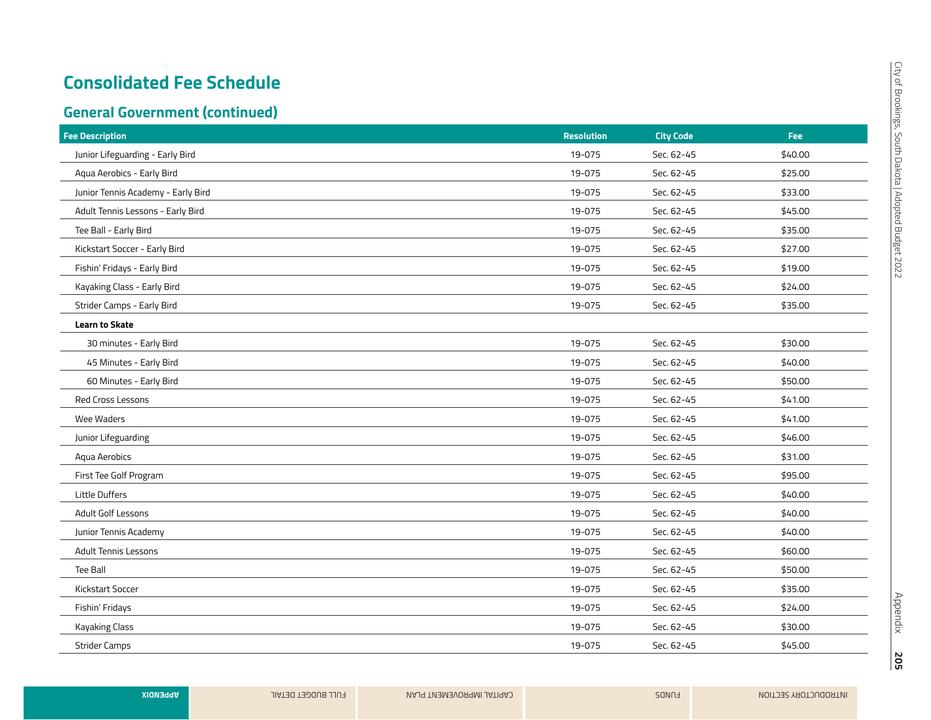| <b>Fee Description</b>             | <b>Resolution</b> | <b>City Code</b> | Fee:    |
|------------------------------------|-------------------|------------------|---------|
| Junior Lifeguarding - Early Bird   | 19-075            | Sec. 62-45       | \$40.00 |
| Aqua Aerobics - Early Bird         | 19-075            | Sec. 62-45       | \$25.00 |
| Junior Tennis Academy - Early Bird | 19-075            | Sec. 62-45       | \$33.00 |
| Adult Tennis Lessons - Early Bird  | 19-075            | Sec. 62-45       | \$45.00 |
| Tee Ball - Early Bird              | 19-075            | Sec. 62-45       | \$35.00 |
| Kickstart Soccer - Early Bird      | 19-075            | Sec. 62-45       | \$27.00 |
| Fishin' Fridays - Early Bird       | 19-075            | Sec. 62-45       | \$19.00 |
| Kayaking Class - Early Bird        | 19-075            | Sec. 62-45       | \$24.00 |
| Strider Camps - Early Bird         | 19-075            | Sec. 62-45       | \$35.00 |
| Learn to Skate                     |                   |                  |         |
| 30 minutes - Early Bird            | 19-075            | Sec. 62-45       | \$30.00 |
| 45 Minutes - Early Bird            | 19-075            | Sec. 62-45       | \$40.00 |
| 60 Minutes - Early Bird            | 19-075            | Sec. 62-45       | \$50.00 |
| Red Cross Lessons                  | 19-075            | Sec. 62-45       | \$41.00 |
| Wee Waders                         | 19-075            | Sec. 62-45       | \$41.00 |
| Junior Lifeguarding                | 19-075            | Sec. 62-45       | \$46.00 |
| Aqua Aerobics                      | 19-075            | Sec. 62-45       | \$31.00 |
| First Tee Golf Program             | 19-075            | Sec. 62-45       | \$95.00 |
| Little Duffers                     | 19-075            | Sec. 62-45       | \$40.00 |
| Adult Golf Lessons                 | 19-075            | Sec. 62-45       | \$40.00 |
| Junior Tennis Academy              | 19-075            | Sec. 62-45       | \$40.00 |
| <b>Adult Tennis Lessons</b>        | 19-075            | Sec. 62-45       | \$60.00 |
| Tee Ball                           | 19-075            | Sec. 62-45       | \$50.00 |
| Kickstart Soccer                   | 19-075            | Sec. 62-45       | \$35.00 |
| Fishin' Fridays                    | 19-075            | Sec. 62-45       | \$24.00 |
| <b>Kayaking Class</b>              | 19-075            | Sec. 62-45       | \$30.00 |
| <b>Strider Camps</b>               | 19-075            | Sec. 62-45       | \$45.00 |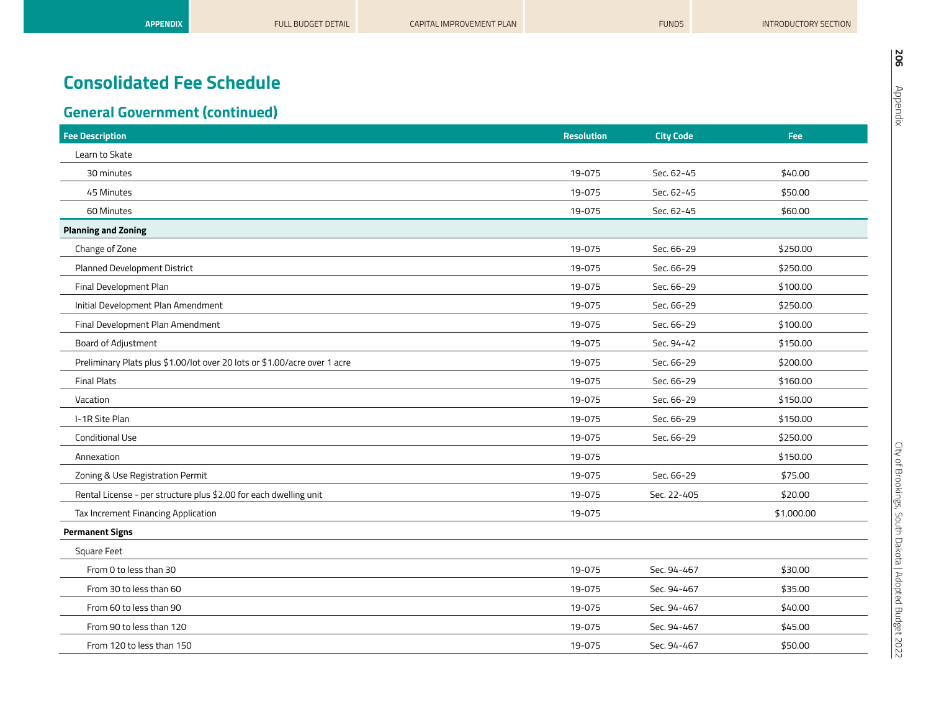| <b>Fee Description</b>                                                    | <b>Resolution</b> | <b>City Code</b> | Fee        |
|---------------------------------------------------------------------------|-------------------|------------------|------------|
| Learn to Skate                                                            |                   |                  |            |
| 30 minutes                                                                | 19-075            | Sec. 62-45       | \$40.00    |
| 45 Minutes                                                                | 19-075            | Sec. 62-45       | \$50.00    |
| 60 Minutes                                                                | 19-075            | Sec. 62-45       | \$60.00    |
| <b>Planning and Zoning</b>                                                |                   |                  |            |
| Change of Zone                                                            | 19-075            | Sec. 66-29       | \$250.00   |
| Planned Development District                                              | 19-075            | Sec. 66-29       | \$250.00   |
| Final Development Plan                                                    | 19-075            | Sec. 66-29       | \$100.00   |
| Initial Development Plan Amendment                                        | 19-075            | Sec. 66-29       | \$250.00   |
| Final Development Plan Amendment                                          | 19-075            | Sec. 66-29       | \$100.00   |
| Board of Adjustment                                                       | 19-075            | Sec. 94-42       | \$150.00   |
| Preliminary Plats plus \$1.00/lot over 20 lots or \$1.00/acre over 1 acre | 19-075            | Sec. 66-29       | \$200.00   |
| <b>Final Plats</b>                                                        | 19-075            | Sec. 66-29       | \$160.00   |
| Vacation                                                                  | 19-075            | Sec. 66-29       | \$150.00   |
| I-1R Site Plan                                                            | 19-075            | Sec. 66-29       | \$150.00   |
| <b>Conditional Use</b>                                                    | 19-075            | Sec. 66-29       | \$250.00   |
| Annexation                                                                | 19-075            |                  | \$150.00   |
| Zoning & Use Registration Permit                                          | 19-075            | Sec. 66-29       | \$75.00    |
| Rental License - per structure plus \$2.00 for each dwelling unit         | 19-075            | Sec. 22-405      | \$20.00    |
| Tax Increment Financing Application                                       | 19-075            |                  | \$1,000.00 |
| <b>Permanent Signs</b>                                                    |                   |                  |            |
| Square Feet                                                               |                   |                  |            |
| From 0 to less than 30                                                    | 19-075            | Sec. 94-467      | \$30.00    |
| From 30 to less than 60                                                   | 19-075            | Sec. 94-467      | \$35.00    |
| From 60 to less than 90                                                   | 19-075            | Sec. 94-467      | \$40.00    |
| From 90 to less than 120                                                  | 19-075            | Sec. 94-467      | \$45.00    |
| From 120 to less than 150                                                 | 19-075            | Sec. 94-467      | \$50.00    |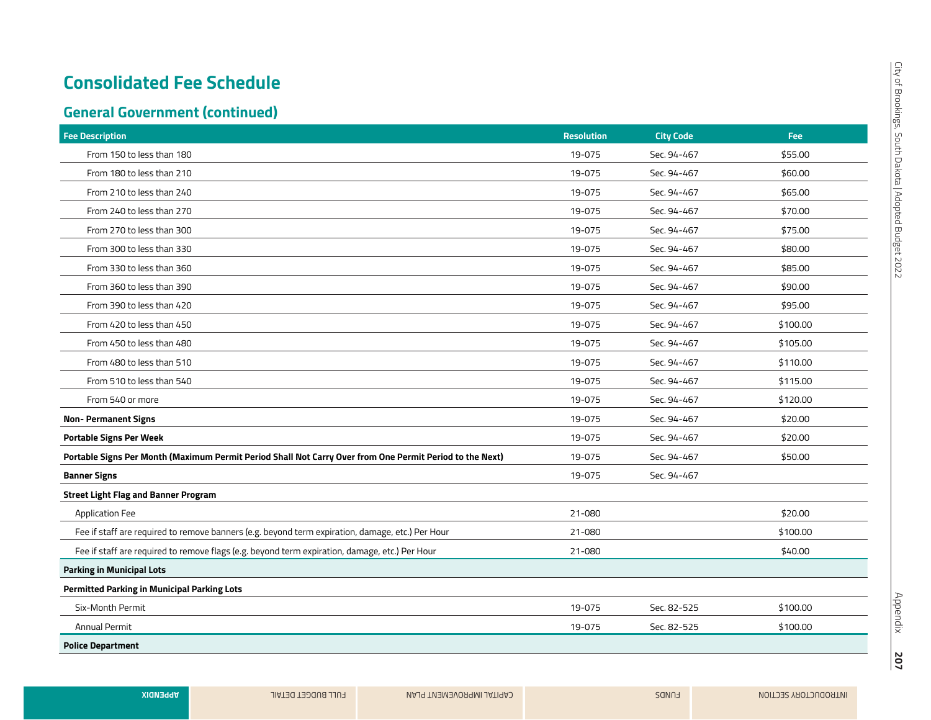## **General Government (continued)**

| <b>Fee Description</b>                                                                                   | <b>Resolution</b> | <b>City Code</b> | Fee:     |
|----------------------------------------------------------------------------------------------------------|-------------------|------------------|----------|
| From 150 to less than 180                                                                                | 19-075            | Sec. 94-467      | \$55.00  |
| From 180 to less than 210                                                                                | 19-075            | Sec. 94-467      | \$60.00  |
| From 210 to less than 240                                                                                | 19-075            | Sec. 94-467      | \$65.00  |
| From 240 to less than 270                                                                                | 19-075            | Sec. 94-467      | \$70.00  |
| From 270 to less than 300                                                                                | 19-075            | Sec. 94-467      | \$75.00  |
| From 300 to less than 330                                                                                | 19-075            | Sec. 94-467      | \$80.00  |
| From 330 to less than 360                                                                                | 19-075            | Sec. 94-467      | \$85.00  |
| From 360 to less than 390                                                                                | 19-075            | Sec. 94-467      | \$90.00  |
| From 390 to less than 420                                                                                | 19-075            | Sec. 94-467      | \$95.00  |
| From 420 to less than 450                                                                                | 19-075            | Sec. 94-467      | \$100.00 |
| From 450 to less than 480                                                                                | 19-075            | Sec. 94-467      | \$105.00 |
| From 480 to less than 510                                                                                | 19-075            | Sec. 94-467      | \$110.00 |
| From 510 to less than 540                                                                                | 19-075            | Sec. 94-467      | \$115.00 |
| From 540 or more                                                                                         | 19-075            | Sec. 94-467      | \$120.00 |
| <b>Non-Permanent Signs</b>                                                                               | 19-075            | Sec. 94-467      | \$20.00  |
| <b>Portable Signs Per Week</b>                                                                           | 19-075            | Sec. 94-467      | \$20.00  |
| Portable Signs Per Month (Maximum Permit Period Shall Not Carry Over from One Permit Period to the Next) | 19-075            | Sec. 94-467      | \$50.00  |
| <b>Banner Signs</b>                                                                                      | 19-075            | Sec. 94-467      |          |
| <b>Street Light Flag and Banner Program</b>                                                              |                   |                  |          |
| <b>Application Fee</b>                                                                                   | 21-080            |                  | \$20.00  |
| Fee if staff are required to remove banners (e.g. beyond term expiration, damage, etc.) Per Hour         | 21-080            |                  | \$100.00 |
| Fee if staff are required to remove flags (e.g. beyond term expiration, damage, etc.) Per Hour           | 21-080            |                  | \$40.00  |
| <b>Parking in Municipal Lots</b>                                                                         |                   |                  |          |
| <b>Permitted Parking in Municipal Parking Lots</b>                                                       |                   |                  |          |
| Six-Month Permit                                                                                         | 19-075            | Sec. 82-525      | \$100.00 |
| <b>Annual Permit</b>                                                                                     | 19-075            | Sec. 82-525      | \$100.00 |
| <b>Police Department</b>                                                                                 |                   |                  |          |

Appendix

**207**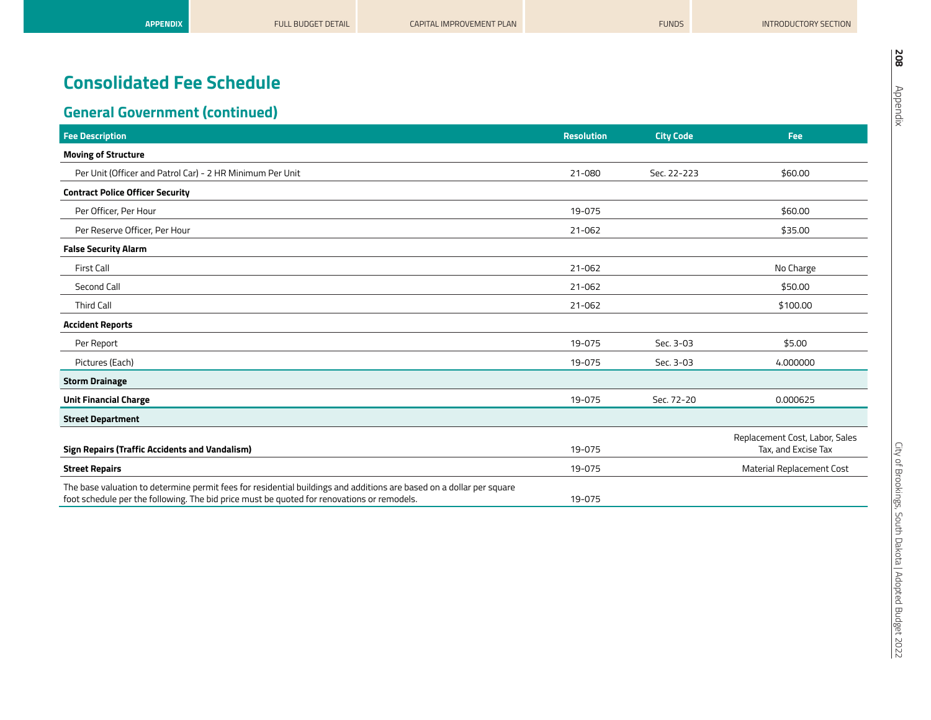| <b>Fee Description</b>                                                                                                                                                                                             | <b>Resolution</b> | <b>City Code</b> | Fee                                                   |
|--------------------------------------------------------------------------------------------------------------------------------------------------------------------------------------------------------------------|-------------------|------------------|-------------------------------------------------------|
| <b>Moving of Structure</b>                                                                                                                                                                                         |                   |                  |                                                       |
| Per Unit (Officer and Patrol Car) - 2 HR Minimum Per Unit                                                                                                                                                          | 21-080            | Sec. 22-223      | \$60.00                                               |
| <b>Contract Police Officer Security</b>                                                                                                                                                                            |                   |                  |                                                       |
| Per Officer, Per Hour                                                                                                                                                                                              | 19-075            |                  | \$60.00                                               |
| Per Reserve Officer, Per Hour                                                                                                                                                                                      | 21-062            |                  | \$35.00                                               |
| <b>False Security Alarm</b>                                                                                                                                                                                        |                   |                  |                                                       |
| First Call                                                                                                                                                                                                         | 21-062            |                  | No Charge                                             |
| Second Call                                                                                                                                                                                                        | 21-062            |                  | \$50.00                                               |
| <b>Third Call</b>                                                                                                                                                                                                  | 21-062            |                  | \$100.00                                              |
| <b>Accident Reports</b>                                                                                                                                                                                            |                   |                  |                                                       |
| Per Report                                                                                                                                                                                                         | 19-075            | Sec. 3-03        | \$5.00                                                |
| Pictures (Each)                                                                                                                                                                                                    | 19-075            | Sec. 3-03        | 4.000000                                              |
| <b>Storm Drainage</b>                                                                                                                                                                                              |                   |                  |                                                       |
| <b>Unit Financial Charge</b>                                                                                                                                                                                       | 19-075            | Sec. 72-20       | 0.000625                                              |
| <b>Street Department</b>                                                                                                                                                                                           |                   |                  |                                                       |
| <b>Sign Repairs (Traffic Accidents and Vandalism)</b>                                                                                                                                                              | 19-075            |                  | Replacement Cost, Labor, Sales<br>Tax, and Excise Tax |
| <b>Street Repairs</b>                                                                                                                                                                                              | 19-075            |                  | <b>Material Replacement Cost</b>                      |
| The base valuation to determine permit fees for residential buildings and additions are based on a dollar per square<br>foot schedule per the following. The bid price must be quoted for renovations or remodels. | 19-075            |                  |                                                       |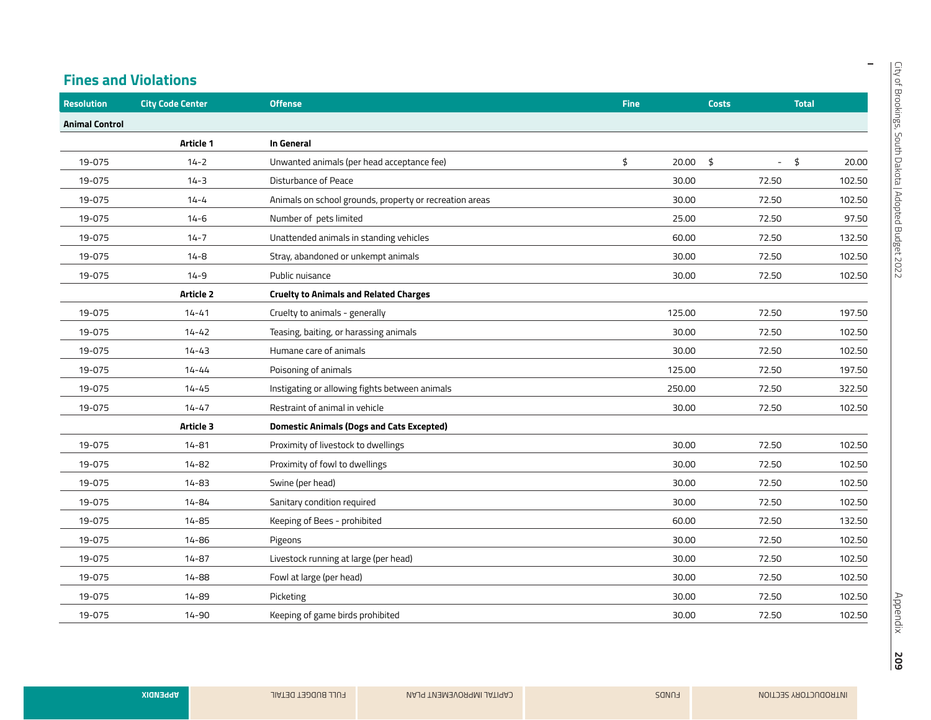$\overline{\phantom{a}}$ 

#### **Fines and Violations**

| <b>Resolution</b>     | <b>City Code Center</b> | <b>Offense</b>                                          | <b>Fine</b> |        | <b>Costs</b> | <b>Total</b>  |
|-----------------------|-------------------------|---------------------------------------------------------|-------------|--------|--------------|---------------|
| <b>Animal Control</b> |                         |                                                         |             |        |              |               |
|                       | Article 1               | In General                                              |             |        |              |               |
| 19-075                | $14 - 2$                | Unwanted animals (per head acceptance fee)              | \$          | 20.00  | \$           | $-5$<br>20.00 |
| 19-075                | $14 - 3$                | Disturbance of Peace                                    |             | 30.00  | 72.50        | 102.50        |
| 19-075                | $14 - 4$                | Animals on school grounds, property or recreation areas |             | 30.00  | 72.50        | 102.50        |
| 19-075                | $14 - 6$                | Number of pets limited                                  |             | 25.00  | 72.50        | 97.50         |
| 19-075                | $14 - 7$                | Unattended animals in standing vehicles                 |             | 60.00  | 72.50        | 132.50        |
| 19-075                | $14 - 8$                | Stray, abandoned or unkempt animals                     |             | 30.00  | 72.50        | 102.50        |
| 19-075                | $14 - 9$                | Public nuisance                                         |             | 30.00  | 72.50        | 102.50        |
|                       | Article 2               | <b>Cruelty to Animals and Related Charges</b>           |             |        |              |               |
| 19-075                | $14 - 41$               | Cruelty to animals - generally                          |             | 125.00 | 72.50        | 197.50        |
| 19-075                | $14 - 42$               | Teasing, baiting, or harassing animals                  |             | 30.00  | 72.50        | 102.50        |
| 19-075                | $14 - 43$               | Humane care of animals                                  |             | 30.00  | 72.50        | 102.50        |
| 19-075                | $14 - 44$               | Poisoning of animals                                    |             | 125.00 | 72.50        | 197.50        |
| 19-075                | $14 - 45$               | Instigating or allowing fights between animals          |             | 250.00 | 72.50        | 322.50        |
| 19-075                | $14 - 47$               | Restraint of animal in vehicle                          |             | 30.00  | 72.50        | 102.50        |
|                       | Article 3               | <b>Domestic Animals (Dogs and Cats Excepted)</b>        |             |        |              |               |
| 19-075                | $14 - 81$               | Proximity of livestock to dwellings                     |             | 30.00  | 72.50        | 102.50        |
| 19-075                | 14-82                   | Proximity of fowl to dwellings                          |             | 30.00  | 72.50        | 102.50        |
| 19-075                | $14 - 83$               | Swine (per head)                                        |             | 30.00  | 72.50        | 102.50        |
| 19-075                | $14 - 84$               | Sanitary condition required                             |             | 30.00  | 72.50        | 102.50        |
| 19-075                | 14-85                   | Keeping of Bees - prohibited                            |             | 60.00  | 72.50        | 132.50        |
| 19-075                | 14-86                   | Pigeons                                                 |             | 30.00  | 72.50        | 102.50        |
| 19-075                | $14 - 87$               | Livestock running at large (per head)                   |             | 30.00  | 72.50        | 102.50        |
| 19-075                | 14-88                   | Fowl at large (per head)                                |             | 30.00  | 72.50        | 102.50        |
| 19-075                | 14-89                   | Picketing                                               |             | 30.00  | 72.50        | 102.50        |
| 19-075                | $14 - 90$               | Keeping of game birds prohibited                        |             | 30.00  | 72.50        | 102.50        |

**209**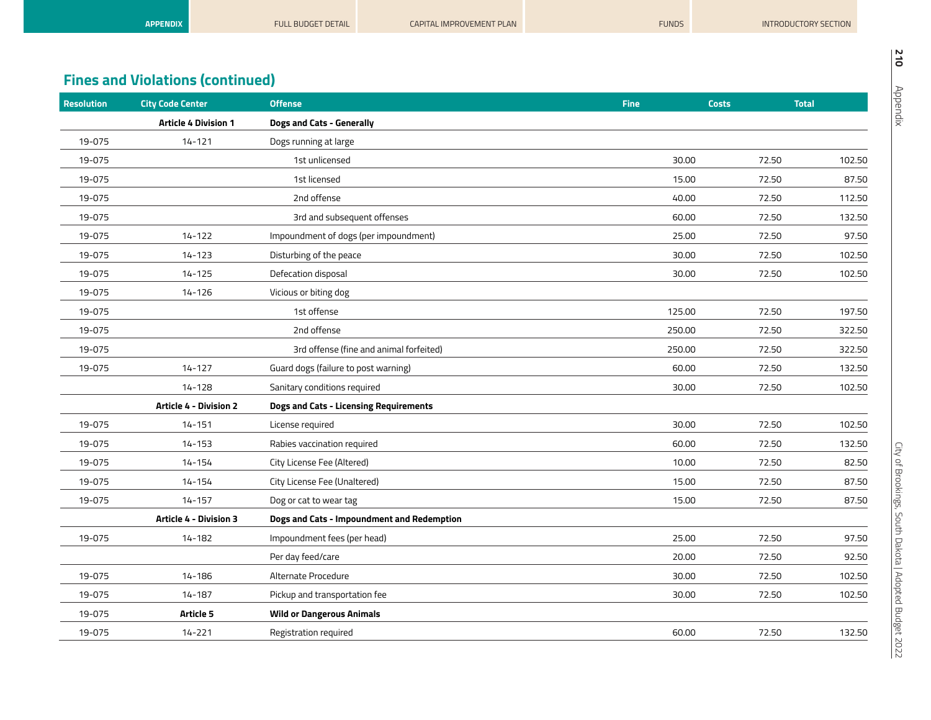| <b>APPENDIX</b> | <b>FULL BUDGET DETAIL</b> | <b>CAPITAL IMPROVEMENT PLAN</b> | <b>FUNDS</b> | INTRODUCTORY SECTION |
|-----------------|---------------------------|---------------------------------|--------------|----------------------|
|                 |                           |                                 |              |                      |

| <b>City Code Center</b>       | <b>Offense</b>                             | <b>Fine</b> | <b>Costs</b> | <b>Total</b> |
|-------------------------------|--------------------------------------------|-------------|--------------|--------------|
| <b>Article 4 Division 1</b>   | <b>Dogs and Cats - Generally</b>           |             |              |              |
| $14 - 121$                    | Dogs running at large                      |             |              |              |
|                               | 1st unlicensed                             | 30.00       | 72.50        | 102.50       |
|                               | 1st licensed                               | 15.00       | 72.50        | 87.50        |
|                               | 2nd offense                                | 40.00       | 72.50        | 112.50       |
|                               | 3rd and subsequent offenses                | 60.00       | 72.50        | 132.50       |
| $14 - 122$                    | Impoundment of dogs (per impoundment)      | 25.00       | 72.50        | 97.50        |
| $14 - 123$                    | Disturbing of the peace                    | 30.00       | 72.50        | 102.50       |
| $14 - 125$                    | Defecation disposal                        | 30.00       | 72.50        | 102.50       |
| 14-126                        | Vicious or biting dog                      |             |              |              |
|                               | 1st offense                                | 125.00      | 72.50        | 197.50       |
|                               | 2nd offense                                | 250.00      | 72.50        | 322.50       |
|                               | 3rd offense (fine and animal forfeited)    | 250.00      | 72.50        | 322.50       |
| $14 - 127$                    | Guard dogs (failure to post warning)       | 60.00       | 72.50        | 132.50       |
| $14 - 128$                    | Sanitary conditions required               | 30.00       | 72.50        | 102.50       |
| <b>Article 4 - Division 2</b> | Dogs and Cats - Licensing Requirements     |             |              |              |
| $14 - 151$                    | License required                           | 30.00       | 72.50        | 102.50       |
| $14 - 153$                    | Rabies vaccination required                | 60.00       | 72.50        | 132.50       |
| 14-154                        | City License Fee (Altered)                 | 10.00       | 72.50        | 82.50        |
| 14-154                        | City License Fee (Unaltered)               | 15.00       | 72.50        | 87.50        |
| $14 - 157$                    | Dog or cat to wear tag                     | 15.00       | 72.50        | 87.50        |
| Article 4 - Division 3        | Dogs and Cats - Impoundment and Redemption |             |              |              |
| 14-182                        | Impoundment fees (per head)                | 25.00       | 72.50        | 97.50        |
|                               | Per day feed/care                          | 20.00       | 72.50        | 92.50        |
| 14-186                        | Alternate Procedure                        | 30.00       | 72.50        | 102.50       |
| $14 - 187$                    | Pickup and transportation fee              | 30.00       | 72.50        | 102.50       |
| Article 5                     | <b>Wild or Dangerous Animals</b>           |             |              |              |
| $14 - 221$                    | Registration required                      | 60.00       | 72.50        | 132.50       |
|                               |                                            |             |              |              |

**210**

Appendix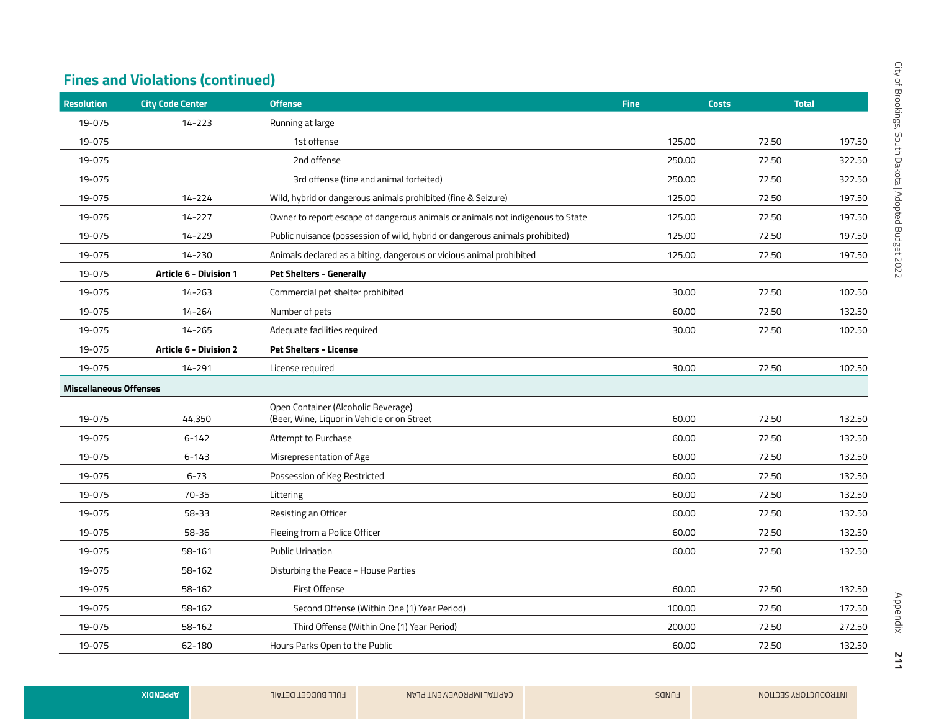| <b>City Code Center</b>       | <b>Offense</b>                                                                     | <b>Fine</b> | <b>Costs</b> | <b>Total</b> |
|-------------------------------|------------------------------------------------------------------------------------|-------------|--------------|--------------|
| $14 - 223$                    | Running at large                                                                   |             |              |              |
|                               | 1st offense                                                                        | 125.00      | 72.50        | 197.50       |
|                               | 2nd offense                                                                        | 250.00      | 72.50        | 322.50       |
|                               | 3rd offense (fine and animal forfeited)                                            | 250.00      | 72.50        | 322.50       |
| 14-224                        | Wild, hybrid or dangerous animals prohibited (fine & Seizure)                      | 125.00      | 72.50        | 197.50       |
| 14-227                        | Owner to report escape of dangerous animals or animals not indigenous to State     | 125.00      | 72.50        | 197.50       |
| 14-229                        | Public nuisance (possession of wild, hybrid or dangerous animals prohibited)       | 125.00      | 72.50        | 197.50       |
| 14-230                        | Animals declared as a biting, dangerous or vicious animal prohibited               | 125.00      | 72.50        | 197.50       |
| Article 6 - Division 1        | <b>Pet Shelters - Generally</b>                                                    |             |              |              |
| $14 - 263$                    | Commercial pet shelter prohibited                                                  | 30.00       | 72.50        | 102.50       |
| 14-264                        | Number of pets                                                                     | 60.00       | 72.50        | 132.50       |
| 14-265                        | Adequate facilities required                                                       | 30.00       | 72.50        | 102.50       |
| <b>Article 6 - Division 2</b> | <b>Pet Shelters - License</b>                                                      |             |              |              |
| 14-291                        | License required                                                                   | 30.00       | 72.50        | 102.50       |
| <b>Miscellaneous Offenses</b> |                                                                                    |             |              |              |
| 44,350                        | Open Container (Alcoholic Beverage)<br>(Beer, Wine, Liquor in Vehicle or on Street | 60.00       | 72.50        | 132.50       |
| $6 - 142$                     | Attempt to Purchase                                                                | 60.00       | 72.50        | 132.50       |
| $6 - 143$                     | Misrepresentation of Age                                                           | 60.00       | 72.50        | 132.50       |
| $6 - 73$                      | Possession of Keg Restricted                                                       | 60.00       | 72.50        | 132.50       |
| $70 - 35$                     | Littering                                                                          | 60.00       | 72.50        | 132.50       |
| 58-33                         | Resisting an Officer                                                               | 60.00       | 72.50        | 132.50       |
| 58-36                         | Fleeing from a Police Officer                                                      | 60.00       | 72.50        | 132.50       |
| 58-161                        | <b>Public Urination</b>                                                            | 60.00       | 72.50        | 132.50       |
| 58-162                        | Disturbing the Peace - House Parties                                               |             |              |              |
| 58-162                        | First Offense                                                                      | 60.00       | 72.50        | 132.50       |
| 58-162                        | Second Offense (Within One (1) Year Period)                                        | 100.00      | 72.50        | 172.50       |
| 58-162                        | Third Offense (Within One (1) Year Period)                                         | 200.00      | 72.50        | 272.50       |
| 62-180                        | Hours Parks Open to the Public                                                     | 60.00       | 72.50        | 132.50       |
|                               |                                                                                    |             |              |              |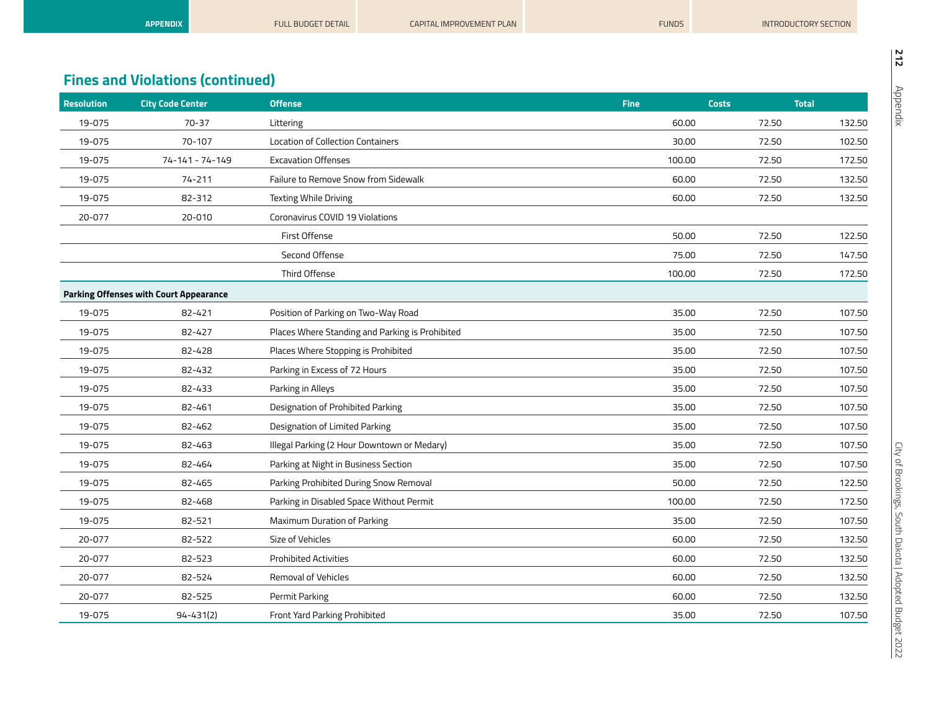|                   | <b>APPENDIX</b>                         | <b>FULL BUDGET DETAIL</b>            | <b>CAPITAL IMPROVEMENT PLAN</b> | <b>FUNDS</b> |              | INTRODUCTORY SECTION |
|-------------------|-----------------------------------------|--------------------------------------|---------------------------------|--------------|--------------|----------------------|
|                   |                                         |                                      |                                 |              |              |                      |
|                   | <b>Fines and Violations (continued)</b> |                                      |                                 |              |              |                      |
| <b>Resolution</b> | <b>City Code Center</b>                 | <b>Offense</b>                       |                                 | <b>Fine</b>  | <b>Costs</b> | <b>Total</b>         |
| 19-075            | $70 - 37$                               | Littering                            |                                 | 60.00        | 72.50        | 132.50               |
| 19-075            | 70-107                                  | Location of Collection Containers    |                                 | 30.00        | 72.50        | 102.50               |
| 19-075            | 74-141 - 74-149                         | <b>Excavation Offenses</b>           |                                 | 100.00       | 72.50        | 172.50               |
| 19-075            | 74-211                                  | Failure to Remove Snow from Sidewalk |                                 | 60.00        | 72.50        | 132.50               |
| 19-075            | 82-312                                  | <b>Texting While Driving</b>         |                                 | 60.00        | 72.50        | 132.50               |
| 20-077            | 20-010                                  | Coronavirus COVID 19 Violations      |                                 |              |              |                      |
|                   |                                         | First Offense                        |                                 | 50.00        | 72.50        | 122.50               |
|                   |                                         | Second Offense                       |                                 | 75.00        | 72.50        | 147.50               |
|                   |                                         | Third Offense                        |                                 | 100.00       | 72.50        | 172.50               |

|        |                                               | Third Offense                                   | 100.00 | 72.50 | 172.50 |
|--------|-----------------------------------------------|-------------------------------------------------|--------|-------|--------|
|        | <b>Parking Offenses with Court Appearance</b> |                                                 |        |       |        |
| 19-075 | 82-421                                        | Position of Parking on Two-Way Road             | 35.00  | 72.50 | 107.50 |
| 19-075 | 82-427                                        | Places Where Standing and Parking is Prohibited | 35.00  | 72.50 | 107.50 |
| 19-075 | 82-428                                        | Places Where Stopping is Prohibited             | 35.00  | 72.50 | 107.50 |
| 19-075 | 82-432                                        | Parking in Excess of 72 Hours                   | 35.00  | 72.50 | 107.50 |
| 19-075 | 82-433                                        | Parking in Alleys                               | 35.00  | 72.50 | 107.50 |
| 19-075 | 82-461                                        | Designation of Prohibited Parking               | 35.00  | 72.50 | 107.50 |
| 19-075 | 82-462                                        | Designation of Limited Parking                  | 35.00  | 72.50 | 107.50 |
| 19-075 | 82-463                                        | Illegal Parking (2 Hour Downtown or Medary)     | 35.00  | 72.50 | 107.50 |
| 19-075 | 82-464                                        | Parking at Night in Business Section            | 35.00  | 72.50 | 107.50 |
| 19-075 | 82-465                                        | Parking Prohibited During Snow Removal          | 50.00  | 72.50 | 122.50 |
| 19-075 | 82-468                                        | Parking in Disabled Space Without Permit        | 100.00 | 72.50 | 172.50 |
| 19-075 | 82-521                                        | Maximum Duration of Parking                     | 35.00  | 72.50 | 107.50 |
| 20-077 | 82-522                                        | Size of Vehicles                                | 60.00  | 72.50 | 132.50 |
| 20-077 | 82-523                                        | <b>Prohibited Activities</b>                    | 60.00  | 72.50 | 132.50 |
| 20-077 | 82-524                                        | <b>Removal of Vehicles</b>                      | 60.00  | 72.50 | 132.50 |
| 20-077 | 82-525                                        | Permit Parking                                  | 60.00  | 72.50 | 132.50 |
| 19-075 | $94 - 431(2)$                                 | Front Yard Parking Prohibited                   | 35.00  | 72.50 | 107.50 |
|        |                                               |                                                 |        |       |        |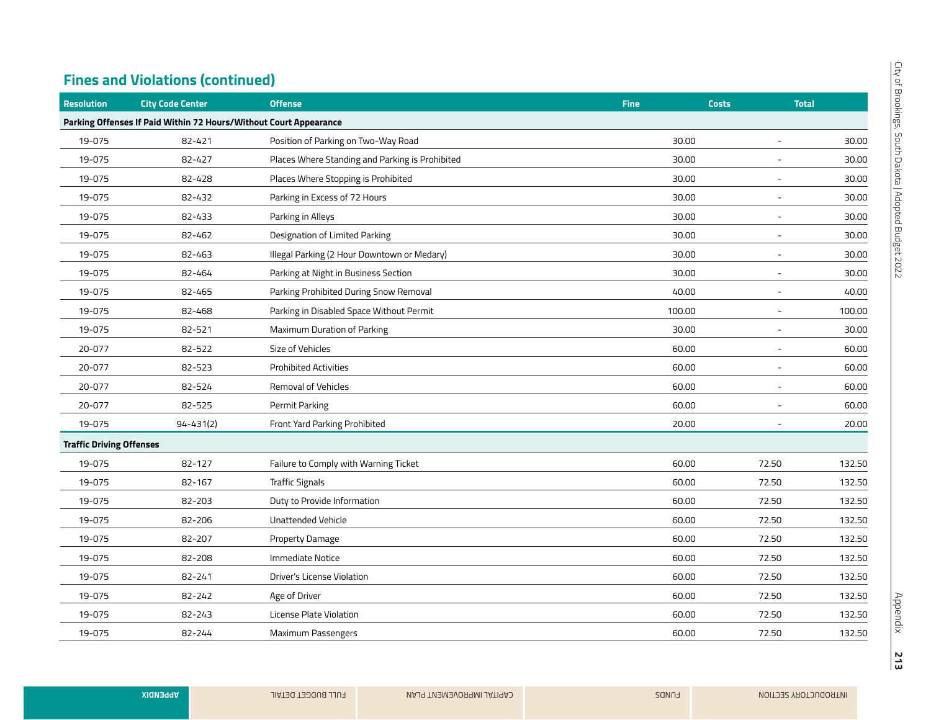| <b>Resolution</b>               | <b>City Code Center</b>                                           | <b>Offense</b>                                  | <b>Fine</b> | <b>Costs</b>             | <b>Total</b> |
|---------------------------------|-------------------------------------------------------------------|-------------------------------------------------|-------------|--------------------------|--------------|
|                                 | Parking Offenses If Paid Within 72 Hours/Without Court Appearance |                                                 |             |                          |              |
| 19-075                          | 82-421                                                            | Position of Parking on Two-Way Road             | 30.00       |                          | 30.00        |
| 19-075                          | 82-427                                                            | Places Where Standing and Parking is Prohibited | 30.00       |                          | 30.00        |
| 19-075                          | 82-428                                                            | Places Where Stopping is Prohibited             | 30.00       |                          | 30.00        |
| 19-075                          | 82-432                                                            | Parking in Excess of 72 Hours                   | 30.00       | $\overline{\phantom{a}}$ | 30.00        |
| 19-075                          | 82-433                                                            | Parking in Alleys                               | 30.00       | $\sim$                   | 30.00        |
| 19-075                          | 82-462                                                            | Designation of Limited Parking                  | 30.00       | $\overline{\phantom{a}}$ | 30.00        |
| 19-075                          | 82-463                                                            | Illegal Parking (2 Hour Downtown or Medary)     | 30.00       | $\overline{\phantom{a}}$ | 30.00        |
| 19-075                          | 82-464                                                            | Parking at Night in Business Section            | 30.00       |                          | 30.00        |
| 19-075                          | 82-465                                                            | Parking Prohibited During Snow Removal          | 40.00       | $\overline{\phantom{a}}$ | 40.00        |
| 19-075                          | 82-468                                                            | Parking in Disabled Space Without Permit        | 100.00      |                          | 100.00       |
| 19-075                          | 82-521                                                            | Maximum Duration of Parking                     | 30.00       | $\overline{\phantom{a}}$ | 30.00        |
| 20-077                          | 82-522                                                            | Size of Vehicles                                | 60.00       | $\overline{\phantom{a}}$ | 60.00        |
| 20-077                          | 82-523                                                            | <b>Prohibited Activities</b>                    | 60.00       | $\overline{\phantom{a}}$ | 60.00        |
| 20-077                          | 82-524                                                            | Removal of Vehicles                             | 60.00       | $\overline{\phantom{a}}$ | 60.00        |
| 20-077                          | 82-525                                                            | Permit Parking                                  | 60.00       |                          | 60.00        |
| 19-075                          | $94 - 431(2)$                                                     | Front Yard Parking Prohibited                   | 20.00       |                          | 20.00        |
| <b>Traffic Driving Offenses</b> |                                                                   |                                                 |             |                          |              |
| 19-075                          | 82-127                                                            | Failure to Comply with Warning Ticket           | 60.00       | 72.50                    | 132.50       |
| 19-075                          | 82-167                                                            | <b>Traffic Signals</b>                          | 60.00       | 72.50                    | 132.50       |
| 19-075                          | 82-203                                                            | Duty to Provide Information                     | 60.00       | 72.50                    | 132.50       |
| 19-075                          | 82-206                                                            | Unattended Vehicle                              | 60.00       | 72.50                    | 132.50       |
| 19-075                          | 82-207                                                            | Property Damage                                 | 60.00       | 72.50                    | 132.50       |
| 19-075                          | 82-208                                                            | Immediate Notice                                | 60.00       | 72.50                    | 132.50       |
| 19-075                          | 82-241                                                            | Driver's License Violation                      | 60.00       | 72.50                    | 132.50       |
| 19-075                          | 82-242                                                            | Age of Driver                                   | 60.00       | 72.50                    | 132.50       |
| 19-075                          | 82-243                                                            | License Plate Violation                         | 60.00       | 72.50                    | 132.50       |
| 19-075                          | 82-244                                                            | Maximum Passengers                              | 60.00       | 72.50                    | 132.50       |

**213**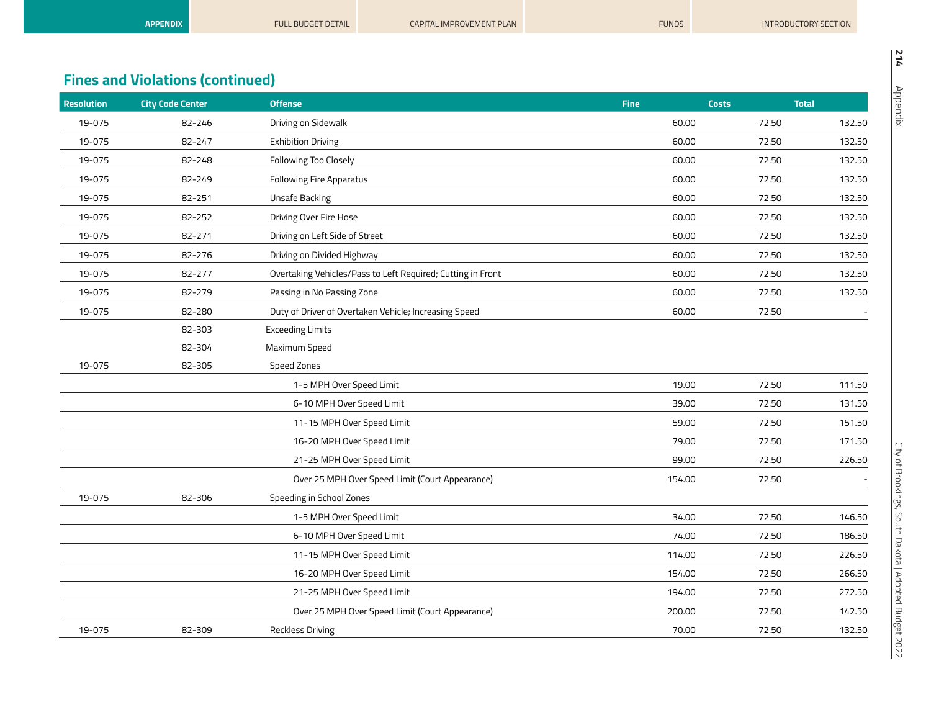| <b>Resolution</b> | <b>City Code Center</b> | <b>Offense</b>                                              | <b>Fine</b> | <b>Costs</b> | <b>Total</b> |        |
|-------------------|-------------------------|-------------------------------------------------------------|-------------|--------------|--------------|--------|
| 19-075            | 82-246                  | Driving on Sidewalk                                         |             | 60.00        | 72.50        | 132.50 |
| 19-075            | 82-247                  | <b>Exhibition Driving</b>                                   |             | 60.00        | 72.50        | 132.50 |
| 19-075            | 82-248                  | Following Too Closely                                       |             | 60.00        | 72.50        | 132.50 |
| 19-075            | 82-249                  | <b>Following Fire Apparatus</b>                             |             | 60.00        | 72.50        | 132.50 |
| 19-075            | 82-251                  | Unsafe Backing                                              |             | 60.00        | 72.50        | 132.50 |
| 19-075            | 82-252                  | Driving Over Fire Hose                                      |             | 60.00        | 72.50        | 132.50 |
| 19-075            | 82-271                  | Driving on Left Side of Street                              |             | 60.00        | 72.50        | 132.50 |
| 19-075            | 82-276                  | Driving on Divided Highway                                  |             | 60.00        | 72.50        | 132.50 |
| 19-075            | 82-277                  | Overtaking Vehicles/Pass to Left Required; Cutting in Front |             | 60.00        | 72.50        | 132.50 |
| 19-075            | 82-279                  | Passing in No Passing Zone                                  |             | 60.00        | 72.50        | 132.50 |
| 19-075            | 82-280                  | Duty of Driver of Overtaken Vehicle; Increasing Speed       |             | 60.00        | 72.50        |        |
|                   | 82-303                  | <b>Exceeding Limits</b>                                     |             |              |              |        |
|                   | 82-304                  | Maximum Speed                                               |             |              |              |        |
| 19-075            | 82-305                  | Speed Zones                                                 |             |              |              |        |
|                   |                         | 1-5 MPH Over Speed Limit                                    |             | 19.00        | 72.50        | 111.50 |
|                   |                         | 6-10 MPH Over Speed Limit                                   |             | 39.00        | 72.50        | 131.50 |
|                   |                         | 11-15 MPH Over Speed Limit                                  |             | 59.00        | 72.50        | 151.50 |
|                   |                         | 16-20 MPH Over Speed Limit                                  |             | 79.00        | 72.50        | 171.50 |
|                   |                         | 21-25 MPH Over Speed Limit                                  |             | 99.00        | 72.50        | 226.50 |
|                   |                         | Over 25 MPH Over Speed Limit (Court Appearance)             |             | 154.00       | 72.50        |        |
| 19-075            | 82-306                  | Speeding in School Zones                                    |             |              |              |        |
|                   |                         | 1-5 MPH Over Speed Limit                                    |             | 34.00        | 72.50        | 146.50 |
|                   |                         | 6-10 MPH Over Speed Limit                                   |             | 74.00        | 72.50        | 186.50 |
|                   |                         | 11-15 MPH Over Speed Limit                                  |             | 114.00       | 72.50        | 226.50 |
|                   |                         | 16-20 MPH Over Speed Limit                                  |             | 154.00       | 72.50        | 266.50 |
|                   |                         | 21-25 MPH Over Speed Limit                                  |             | 194.00       | 72.50        | 272.50 |
|                   |                         | Over 25 MPH Over Speed Limit (Court Appearance)             |             | 200.00       | 72.50        | 142.50 |
| 19-075            | 82-309                  | <b>Reckless Driving</b>                                     |             | 70.00        | 72.50        | 132.50 |

**APPENDIX FULL BUDGET DETAIL CAPITAL IMPROVEMENT PLAN FUNDS** FUNDS FUNDS INTRODUCTORY SECTION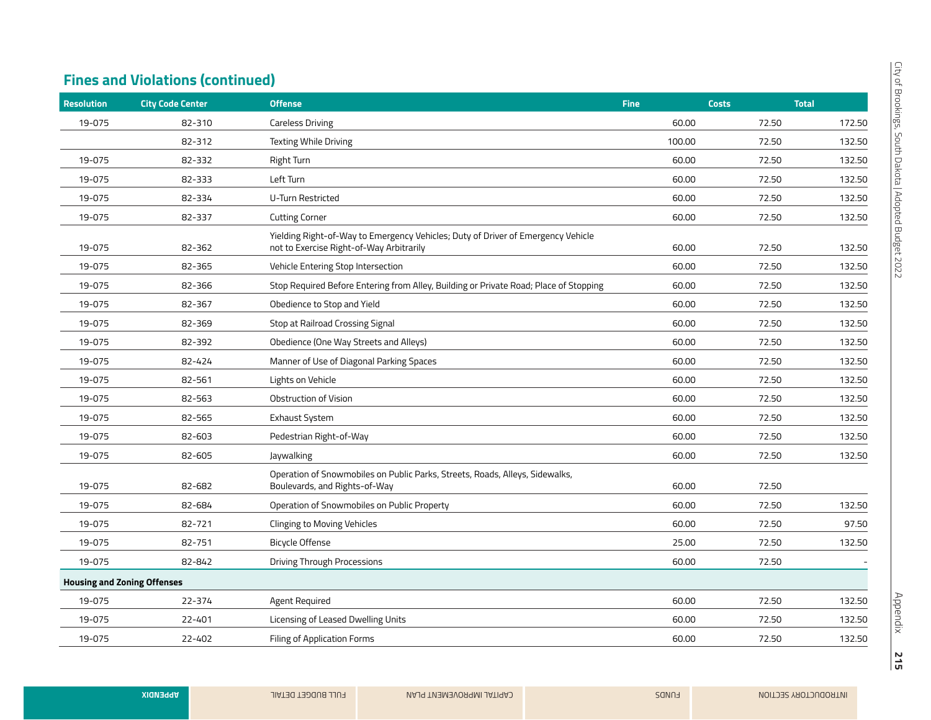| <b>Resolution</b>                  | <b>City Code Center</b> | <b>Offense</b>                                                                                                               | <b>Fine</b> | <b>Costs</b> | <b>Total</b> |
|------------------------------------|-------------------------|------------------------------------------------------------------------------------------------------------------------------|-------------|--------------|--------------|
| 19-075                             | 82-310                  | <b>Careless Driving</b>                                                                                                      | 60.00       | 72.50        | 172.50       |
|                                    | 82-312                  | Texting While Driving                                                                                                        | 100.00      | 72.50        | 132.50       |
| 19-075                             | 82-332                  | Right Turn                                                                                                                   | 60.00       | 72.50        | 132.50       |
| 19-075                             | 82-333                  | Left Turn                                                                                                                    | 60.00       | 72.50        | 132.50       |
| 19-075                             | 82-334                  | <b>U-Turn Restricted</b>                                                                                                     | 60.00       | 72.50        | 132.50       |
| 19-075                             | 82-337                  | <b>Cutting Corner</b>                                                                                                        | 60.00       | 72.50        | 132.50       |
| 19-075                             | 82-362                  | Yielding Right-of-Way to Emergency Vehicles; Duty of Driver of Emergency Vehicle<br>not to Exercise Right-of-Way Arbitrarily | 60.00       | 72.50        | 132.50       |
| 19-075                             | 82-365                  | Vehicle Entering Stop Intersection                                                                                           | 60.00       | 72.50        | 132.50       |
| 19-075                             | 82-366                  | Stop Required Before Entering from Alley, Building or Private Road; Place of Stopping                                        | 60.00       | 72.50        | 132.50       |
| 19-075                             | 82-367                  | Obedience to Stop and Yield                                                                                                  | 60.00       | 72.50        | 132.50       |
| 19-075                             | 82-369                  | Stop at Railroad Crossing Signal                                                                                             | 60.00       | 72.50        | 132.50       |
| 19-075                             | 82-392                  | Obedience (One Way Streets and Alleys)                                                                                       | 60.00       | 72.50        | 132.50       |
| 19-075                             | 82-424                  | Manner of Use of Diagonal Parking Spaces                                                                                     | 60.00       | 72.50        | 132.50       |
| 19-075                             | 82-561                  | Lights on Vehicle                                                                                                            | 60.00       | 72.50        | 132.50       |
| 19-075                             | 82-563                  | Obstruction of Vision                                                                                                        | 60.00       | 72.50        | 132.50       |
| 19-075                             | 82-565                  | Exhaust System                                                                                                               | 60.00       | 72.50        | 132.50       |
| 19-075                             | 82-603                  | Pedestrian Right-of-Way                                                                                                      | 60.00       | 72.50        | 132.50       |
| 19-075                             | 82-605                  | Jaywalking                                                                                                                   | 60.00       | 72.50        | 132.50       |
| 19-075                             | 82-682                  | Operation of Snowmobiles on Public Parks, Streets, Roads, Alleys, Sidewalks,<br>Boulevards, and Rights-of-Way                | 60.00       | 72.50        |              |
| 19-075                             | 82-684                  | Operation of Snowmobiles on Public Property                                                                                  | 60.00       | 72.50        | 132.50       |
| 19-075                             | 82-721                  | <b>Clinging to Moving Vehicles</b>                                                                                           | 60.00       | 72.50        | 97.50        |
| 19-075                             | 82-751                  | Bicycle Offense                                                                                                              | 25.00       | 72.50        | 132.50       |
| 19-075                             | 82-842                  | <b>Driving Through Processions</b>                                                                                           | 60.00       | 72.50        |              |
| <b>Housing and Zoning Offenses</b> |                         |                                                                                                                              |             |              |              |
| 19-075                             | 22-374                  | Agent Required                                                                                                               | 60.00       | 72.50        | 132.50       |
| 19-075                             | 22-401                  | Licensing of Leased Dwelling Units                                                                                           | 60.00       | 72.50        | 132.50       |
| 19-075                             | 22-402                  | Filing of Application Forms                                                                                                  | 60.00       | 72.50        | 132.50       |
|                                    |                         |                                                                                                                              |             |              |              |

**215**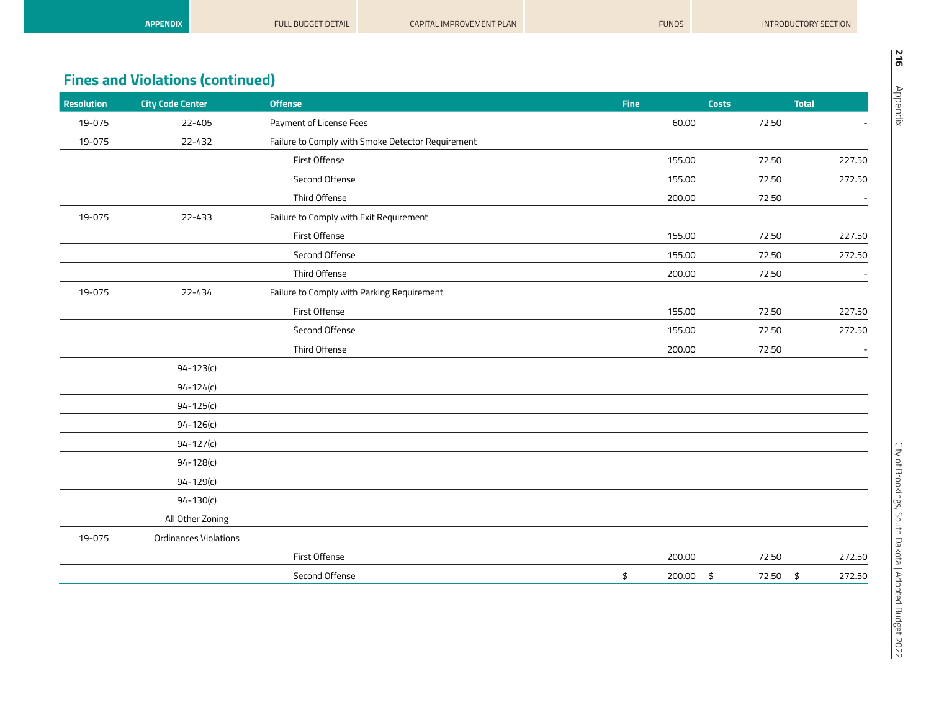| <b>APPENDIX</b>                         | <b>FULL BUDGET DETAIL</b> | <b>CAPITAL IMPROVEMENT PLAN</b> | <b>FUNDS</b> | INTRODUCTORY SECTION |  |
|-----------------------------------------|---------------------------|---------------------------------|--------------|----------------------|--|
|                                         |                           |                                 |              |                      |  |
|                                         |                           |                                 |              |                      |  |
| <b>Fines and Violations (continued)</b> |                           |                                 |              |                      |  |

| Resolution | <b>City Code Center</b>      | <b>Offense</b>                                    | <b>Fine</b> |        | <b>Costs</b>   | <b>Total</b> |
|------------|------------------------------|---------------------------------------------------|-------------|--------|----------------|--------------|
| 19-075     | 22-405                       | Payment of License Fees                           |             | 60.00  | 72.50          |              |
| 19-075     | 22-432                       | Failure to Comply with Smoke Detector Requirement |             |        |                |              |
|            |                              | First Offense                                     |             | 155.00 | 72.50          | 227.50       |
|            |                              | Second Offense                                    |             | 155.00 | 72.50          | 272.50       |
|            |                              | Third Offense                                     |             | 200.00 | 72.50          |              |
| 19-075     | 22-433                       | Failure to Comply with Exit Requirement           |             |        |                |              |
|            |                              | First Offense                                     |             | 155.00 | 72.50          | 227.50       |
|            |                              | Second Offense                                    |             | 155.00 | 72.50          | 272.50       |
|            |                              | Third Offense                                     |             | 200.00 | 72.50          |              |
| 19-075     | 22-434                       | Failure to Comply with Parking Requirement        |             |        |                |              |
|            |                              | First Offense                                     |             | 155.00 | 72.50          | 227.50       |
|            |                              | Second Offense                                    |             | 155.00 | 72.50          | 272.50       |
|            |                              | Third Offense                                     |             | 200.00 | 72.50          |              |
|            | $94 - 123(c)$                |                                                   |             |        |                |              |
|            | $94 - 124(c)$                |                                                   |             |        |                |              |
|            | $94 - 125(c)$                |                                                   |             |        |                |              |
|            | $94 - 126(c)$                |                                                   |             |        |                |              |
|            | $94 - 127(c)$                |                                                   |             |        |                |              |
|            | $94 - 128(c)$                |                                                   |             |        |                |              |
|            | $94 - 129(c)$                |                                                   |             |        |                |              |
|            | $94 - 130(c)$                |                                                   |             |        |                |              |
|            | All Other Zoning             |                                                   |             |        |                |              |
| 19-075     | <b>Ordinances Violations</b> |                                                   |             |        |                |              |
|            |                              | First Offense                                     |             | 200.00 | 72.50          | 272.50       |
|            |                              | Second Offense                                    | \$          | 200.00 | \$<br>72.50 \$ | 272.50       |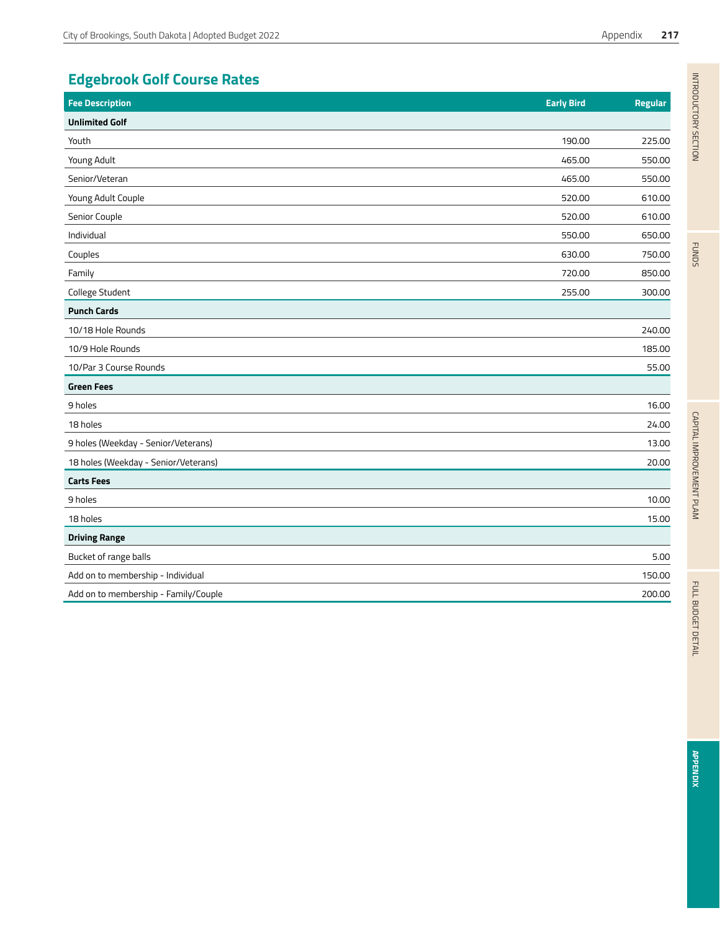# **Edgebrook Golf Course Rates**

| <b>Fee Description</b>               | <b>Early Bird</b> | <b>Regular</b> |
|--------------------------------------|-------------------|----------------|
| <b>Unlimited Golf</b>                |                   |                |
| Youth                                | 190.00            | 225.00         |
| Young Adult                          | 465.00            | 550.00         |
| Senior/Veteran                       | 465.00            | 550.00         |
| Young Adult Couple                   | 520.00            | 610.00         |
| Senior Couple                        | 520.00            | 610.00         |
| Individual                           | 550.00            | 650.00         |
| Couples                              | 630.00            | 750.00         |
| Family                               | 720.00            | 850.00         |
| College Student                      | 255.00            | 300.00         |
| <b>Punch Cards</b>                   |                   |                |
| 10/18 Hole Rounds                    |                   | 240.00         |
| 10/9 Hole Rounds                     |                   | 185.00         |
| 10/Par 3 Course Rounds               |                   | 55.00          |
| <b>Green Fees</b>                    |                   |                |
| 9 holes                              |                   | 16.00          |
| 18 holes                             |                   | 24.00          |
| 9 holes (Weekday - Senior/Veterans)  |                   | 13.00          |
| 18 holes (Weekday - Senior/Veterans) |                   | 20.00          |
| <b>Carts Fees</b>                    |                   |                |
| 9 holes                              |                   | 10.00          |
| 18 holes                             |                   | 15.00          |
| <b>Driving Range</b>                 |                   |                |
| Bucket of range balls                |                   | 5.00           |
| Add on to membership - Individual    |                   | 150.00         |
| Add on to membership - Family/Couple |                   | 200.00         |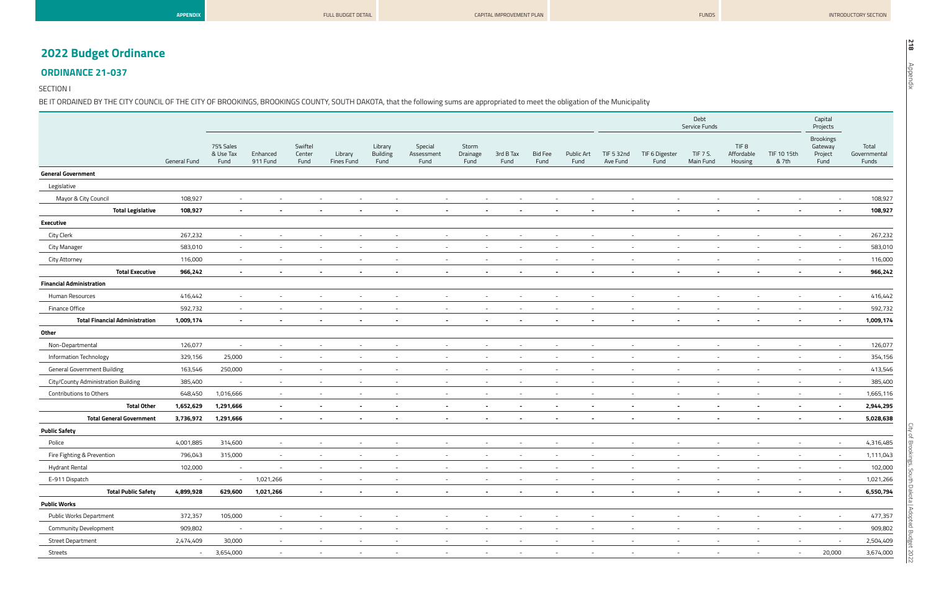| <b>APPENDIX</b> |  |  |
|-----------------|--|--|
|                 |  |  |

| I<br>$\vec{a}$ |
|----------------|
|                |

# **2022 Budget Ordinance**

## **ORDINANCE 21-037**

#### SECTION I

BE IT ORDAINED BY THE CITY COUNCIL OF THE CITY OF BROOKINGS, BROOKINGS COUNTY, SOUTH DAKOTA, that the following sums are appropriated to meet the obligation of the Municipality

|                                       |              |                                |                          |                           |                          |                                    |                               |                           |                                                      |                        |                                                      |                          |                          | Debt<br>Service Funds    |                                           |                          | Capital<br>Projects                            |                                |
|---------------------------------------|--------------|--------------------------------|--------------------------|---------------------------|--------------------------|------------------------------------|-------------------------------|---------------------------|------------------------------------------------------|------------------------|------------------------------------------------------|--------------------------|--------------------------|--------------------------|-------------------------------------------|--------------------------|------------------------------------------------|--------------------------------|
|                                       | General Fund | 75% Sales<br>& Use Tax<br>Fund | Enhanced<br>911 Fund     | Swiftel<br>Center<br>Fund | Library<br>Fines Fund    | Library<br><b>Building</b><br>Fund | Special<br>Assessment<br>Fund | Storm<br>Drainage<br>Fund | 3rd B Tax<br>Fund                                    | <b>Bid Fee</b><br>Fund | Public Art<br>Fund                                   | TIF 5 32nd<br>Ave Fund   | TIF 6 Digester<br>Fund   | TIF 7 S.<br>Main Fund    | TIF <sub>8</sub><br>Affordable<br>Housing | TIF 10 15th<br>& 7th     | <b>Brookings</b><br>Gateway<br>Project<br>Fund | Total<br>Governmental<br>Funds |
| <b>General Government</b>             |              |                                |                          |                           |                          |                                    |                               |                           |                                                      |                        |                                                      |                          |                          |                          |                                           |                          |                                                |                                |
| Legislative                           |              |                                |                          |                           |                          |                                    |                               |                           |                                                      |                        |                                                      |                          |                          |                          |                                           |                          |                                                |                                |
| Mayor & City Council                  | 108,927      | $\sim$                         | $\overline{\phantom{a}}$ | $\sim$                    | $\overline{\phantom{a}}$ | $\sim$                             | $\overline{\phantom{a}}$      |                           | $\overline{\phantom{a}}$<br>$\overline{\phantom{a}}$ |                        | $\overline{\phantom{a}}$                             | $\overline{\phantom{a}}$ | $\overline{\phantom{a}}$ | $\overline{\phantom{a}}$ |                                           | $\sim$                   | $\sim$                                         | 108,927                        |
| <b>Total Legislative</b>              | 108,927      | $\sim$                         | $\sim$                   | $\sim$                    | $\sim$                   | $\sim$                             | $\blacksquare$                |                           | $\sim$<br>$\sim$                                     |                        | $\blacksquare$<br>$\overline{\phantom{a}}$           | $\blacksquare$           | $\sim$                   | $\blacksquare$           | $\blacksquare$                            | $\sim$                   | $\sim$                                         | 108,927                        |
| <b>Executive</b>                      |              |                                |                          |                           |                          |                                    |                               |                           |                                                      |                        |                                                      |                          |                          |                          |                                           |                          |                                                |                                |
| City Clerk                            | 267,232      | $\sim$                         | $\overline{\phantom{a}}$ | $\overline{\phantom{a}}$  | $\sim$                   | $\sim$                             | $\sim$                        |                           | $\overline{\phantom{a}}$<br>$\overline{\phantom{a}}$ |                        | $\sim$                                               | $\sim$                   | $\sim$                   | $\overline{\phantom{a}}$ | $\overline{\phantom{a}}$                  | $\sim$                   | $\overline{\phantom{a}}$                       | 267,232                        |
| <b>City Manager</b>                   | 583,010      | $\sim$ .                       | $\sim$                   | $\overline{\phantom{a}}$  | $\sim$                   | $\sim$                             | $\overline{\phantom{a}}$      |                           | $\overline{\phantom{a}}$<br>$\sim$                   |                        | $\sim$<br>$\overline{\phantom{a}}$                   | $\sim$                   | $\sim$                   | $\overline{\phantom{a}}$ | $\overline{\phantom{a}}$                  | $\sim$                   | $\sim$                                         | 583,010                        |
| City Attorney                         | 116,000      | $\sim$                         | $\overline{\phantom{a}}$ | $\overline{\phantom{a}}$  | $\overline{\phantom{a}}$ | $\sim$                             | $\overline{\phantom{a}}$      |                           | $\overline{\phantom{a}}$<br>$\overline{\phantom{a}}$ |                        | $\overline{\phantom{a}}$<br>$\overline{\phantom{a}}$ | $\sim$                   | $\sim$                   | $\overline{\phantom{a}}$ |                                           | $\overline{\phantom{a}}$ | $\sim$                                         | 116,000                        |
| <b>Total Executive</b>                | 966,242      | $\sim$                         | $\overline{\phantom{a}}$ | $\sim$                    | $\sim$                   | $\overline{\phantom{0}}$           | $\sim$                        |                           | $\,$ $\,$<br>$\blacksquare$                          |                        | $\blacksquare$                                       | $\sim$                   | $\blacksquare$           | $\blacksquare$           | $\overline{\phantom{a}}$                  | $\sim$                   | $\overline{\phantom{0}}$                       | 966,242                        |
| <b>Financial Administration</b>       |              |                                |                          |                           |                          |                                    |                               |                           |                                                      |                        |                                                      |                          |                          |                          |                                           |                          |                                                |                                |
| Human Resources                       | 416,442      | $\sim$                         | $\overline{\phantom{a}}$ | $\overline{\phantom{a}}$  | $\sim$                   |                                    | $\overline{\phantom{a}}$      |                           | $\overline{\phantom{a}}$<br>$\overline{\phantom{a}}$ |                        | $\overline{\phantom{a}}$                             | $\overline{\phantom{a}}$ | $\sim$                   | $\overline{\phantom{a}}$ |                                           | $\overline{\phantom{a}}$ | $\sim$                                         | 416,442                        |
| Finance Office                        | 592,732      | $\sim$                         | $\sim$                   | $\sim$                    | $\sim$                   | $-$                                | $\sim$                        |                           | $-$<br>$\sim$                                        |                        | $\overline{\phantom{a}}$<br>$-$                      | $\overline{\phantom{a}}$ | $\sim$                   | $\overline{\phantom{a}}$ | $\overline{\phantom{a}}$                  | $-$                      | $\sim$                                         | 592,732                        |
| <b>Total Financial Administration</b> | 1,009,174    | $\blacksquare$                 |                          |                           |                          | $\blacksquare$                     |                               |                           |                                                      |                        |                                                      | $\blacksquare$           | $\blacksquare$           |                          |                                           |                          | $\sim$                                         | 1,009,174                      |
| Other                                 |              |                                |                          |                           |                          |                                    |                               |                           |                                                      |                        |                                                      |                          |                          |                          |                                           |                          |                                                |                                |
| Non-Departmental                      | 126,077      | $\overline{\phantom{a}}$       | $\overline{\phantom{a}}$ | $\overline{\phantom{a}}$  |                          |                                    |                               |                           | $\overline{\phantom{a}}$                             |                        |                                                      |                          |                          |                          |                                           | $\sim$                   | $-$                                            | 126,077                        |
| <b>Information Technology</b>         | 329,156      | 25,000                         | $\sim$                   |                           |                          |                                    |                               |                           |                                                      |                        |                                                      |                          |                          |                          |                                           | $\sim$                   | $\sim$                                         | 354,156                        |
| <b>General Government Building</b>    | 163,546      | 250,000                        | $\sim$                   | $-$                       | $\sim$                   | $\sim$                             | $\sim$                        |                           | $\sim$<br>$\sim$                                     |                        | $\sim$<br>$\sim$                                     | $\sim$                   | $\sim$                   | $\sim$                   | $\sim$                                    | $\sim$                   | $\sim$                                         | 413,546                        |
| City/County Administration Building   | 385,400      | $\sim$                         | $\sim$                   | $\overline{\phantom{a}}$  | $\sim$                   | $-$                                | $\sim$                        |                           | $\overline{\phantom{a}}$<br>$\overline{\phantom{a}}$ |                        | $\overline{\phantom{a}}$                             | $\overline{\phantom{a}}$ | $\sim$                   | $\overline{\phantom{a}}$ | $\overline{\phantom{a}}$                  | $\overline{\phantom{a}}$ | $\sim$                                         | 385,400                        |
| Contributions to Others               | 648,450      | 1,016,666                      | $\sim$                   | $\overline{\phantom{a}}$  | $\overline{\phantom{a}}$ | $\sim$                             | $\overline{\phantom{a}}$      |                           | $\overline{\phantom{a}}$                             |                        | $\overline{\phantom{a}}$                             | $\overline{\phantom{a}}$ | $\sim$                   |                          |                                           | $\sim$                   | $\sim$                                         | 1,665,116                      |
| <b>Total Other</b>                    | 1,652,629    | 1,291,666                      | $\sim$ $-$               | $\sim$                    | $\sim$                   | $\sim$                             | $\sim$                        |                           | $\sim$<br>$\sim$                                     |                        | $\sim$<br>$\sim$                                     | $\sim$                   | $\sim$                   | $\sim$                   | $\sim$                                    | $\sim$                   | $\sim$                                         | 2,944,295                      |
| <b>Total General Government</b>       | 3,736,972    | 1,291,666                      | $\sim$                   | $\sim$                    | $\sim$                   | $\sim$                             | $\sim$                        |                           | $\sim$<br>$\overline{\phantom{a}}$                   |                        | $\blacksquare$<br>$\sim$                             | $\sim$                   | $\sim$                   | $\sim$                   | $\sim$                                    | $\sim$                   | $\sim$                                         | 5,028,638                      |
| <b>Public Safety</b>                  |              |                                |                          |                           |                          |                                    |                               |                           |                                                      |                        |                                                      |                          |                          |                          |                                           |                          |                                                |                                |
| Police                                | 4,001,885    | 314,600                        | $\sim$                   |                           | $\sim$<br>$-$            | $-$                                | $\sim$                        |                           | $-$<br>$\overline{\phantom{a}}$                      |                        | $\sim$<br>$\overline{\phantom{0}}$                   | $\sim$                   | $\sim$                   | $\overline{\phantom{a}}$ | $\overline{\phantom{a}}$                  | $\overline{\phantom{0}}$ | $-$                                            | 4,316,485                      |
| Fire Fighting & Prevention            | 796,043      | 315,000                        | $\overline{\phantom{a}}$ |                           | $\overline{\phantom{a}}$ | $\overline{\phantom{a}}$           |                               |                           | $\overline{\phantom{a}}$                             |                        | $\overline{\phantom{a}}$                             | $\overline{\phantom{a}}$ | $\overline{\phantom{a}}$ | $\overline{\phantom{a}}$ |                                           |                          | $\sim$                                         | 1,111,043                      |
| <b>Hydrant Rental</b>                 | 102,000      | $\sim$ .                       | $\sim$                   |                           | $\sim$<br>$\sim$         | $\sim$                             | $\sim$                        |                           | $\sim$<br>$\overline{\phantom{a}}$                   |                        | $\sim$<br>$\sim$                                     | $\sim$                   | $\sim$                   | $\overline{\phantom{a}}$ | $\overline{\phantom{a}}$                  | $\sim$                   | $\sim$                                         | 102,000                        |
| E-911 Dispatch                        | $\sim$       | $\sim 100$                     | 1,021,266                |                           | $\sim$ $-$<br>$\sim$     | $\sim$                             | $\sim$                        |                           | $\sim$<br>$\sim$                                     |                        | $\sim$<br>$\sim$                                     |                          | $\sim$                   | $\sim$<br>$\sim$         | $\sim$                                    | $\sim$                   | $\sim$                                         | 1,021,266                      |
| <b>Total Public Safety</b>            | 4,899,928    | 629,600                        | 1,021,266                |                           | $\sim$<br>$\sim$         | $\sim$                             | $\sim$                        |                           | $\blacksquare$                                       |                        | $\blacksquare$                                       | $\overline{\phantom{a}}$ | $\blacksquare$           |                          |                                           | $\sim$                   | $\sim$                                         | 6,550,794                      |
| <b>Public Works</b>                   |              |                                |                          |                           |                          |                                    |                               |                           |                                                      |                        |                                                      |                          |                          |                          |                                           |                          |                                                |                                |
| Public Works Department               | 372,357      | 105,000                        | $\sim$                   |                           | $\sim$<br>$\sim$         | $\sim$                             | $\sim$                        |                           | $\sim$<br>$\sim$                                     |                        | $\sim$<br>$-$                                        | $\sim$                   | $\sim$                   | $\overline{\phantom{a}}$ | $\overline{\phantom{a}}$                  | $\sim$                   | $\sim$                                         | 477,357                        |
| <b>Community Development</b>          | 909,802      | $\sim$                         | $\sim$                   | $\overline{\phantom{a}}$  | $\sim$                   | $\sim$                             | $\sim$                        |                           | $\overline{\phantom{a}}$                             |                        | $\overline{\phantom{a}}$                             | $\sim$                   | $\sim$                   | $\overline{\phantom{a}}$ |                                           | $\sim$                   | $\sim$                                         | 909,802                        |
| <b>Street Department</b>              | 2,474,409    | 30,000                         | $\sim$                   |                           | $\sim$<br>$\sim$         | $\sim$                             | $\sim$                        |                           | $\sim$<br>$\sim$                                     |                        | $\sim$<br>$-$                                        | $\sim$                   | $\sim$                   | $\overline{\phantom{a}}$ | $\overline{\phantom{a}}$                  | $\sim$                   | $-$                                            | 2,504,409                      |
| Streets                               | $\sim$ .     | 3,654,000                      | $\sim$                   | $\overline{\phantom{a}}$  | $\sim$                   | $\overline{\phantom{a}}$           |                               |                           | $\overline{\phantom{a}}$                             |                        |                                                      | $\sim$                   | $\sim$                   |                          |                                           | $\sim$                   | 20,000                                         | 3,674,000                      |
|                                       |              |                                |                          |                           |                          |                                    |                               |                           |                                                      |                        |                                                      |                          |                          |                          |                                           |                          |                                                |                                |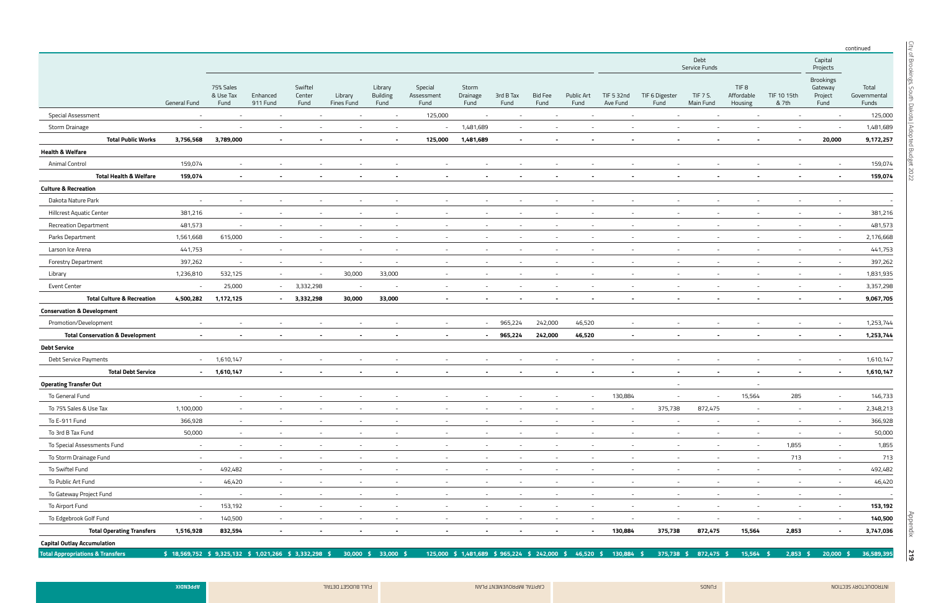Appendix

|                                             |                                                          |                                |                          |                           |                          |                             |                               |                                               |                          |                          |                           |                          |                        |                          |                                           |                          |                                                | continued                      |
|---------------------------------------------|----------------------------------------------------------|--------------------------------|--------------------------|---------------------------|--------------------------|-----------------------------|-------------------------------|-----------------------------------------------|--------------------------|--------------------------|---------------------------|--------------------------|------------------------|--------------------------|-------------------------------------------|--------------------------|------------------------------------------------|--------------------------------|
|                                             |                                                          |                                |                          |                           |                          |                             |                               |                                               |                          |                          |                           |                          |                        | Debt<br>Service Funds    |                                           |                          | Capital<br>Projects                            |                                |
|                                             | <b>General Fund</b>                                      | 75% Sales<br>& Use Tax<br>Fund | Enhanced<br>911 Fund     | Swiftel<br>Center<br>Fund | Library<br>Fines Fund    | Library<br>Building<br>Fund | Special<br>Assessment<br>Fund | Storm<br>Drainage<br>Fund                     | 3rd B Tax<br>Fund        | <b>Bid Fee</b><br>Fund   | <b>Public Art</b><br>Fund | TIF 5 32nd<br>Ave Fund   | TIF 6 Digester<br>Fund | TIF 7 S.<br>Main Fund    | TIF <sub>8</sub><br>Affordable<br>Housing | TIF 10 15th<br>& 7th     | <b>Brookings</b><br>Gateway<br>Project<br>Fund | Total<br>Governmental<br>Funds |
| Special Assessment                          | $\sim$                                                   | $\overline{\phantom{a}}$       | $\overline{\phantom{a}}$ | $\sim$                    | $\sim$                   | $\sim$                      | 125,000                       | $\sim$                                        | $\overline{\phantom{a}}$ | $\overline{\phantom{a}}$ | $\sim$                    |                          |                        | $\sim$                   | $-$                                       | $\sim$                   | $-$                                            | 125,000                        |
| Storm Drainage                              | $\overline{\phantom{a}}$                                 | $\overline{\phantom{a}}$       | $\overline{\phantom{a}}$ | $\overline{\phantom{a}}$  | $\overline{\phantom{a}}$ | $\sim$                      | $\sim$                        | 1,481,689                                     | $\sim$                   |                          |                           |                          |                        |                          |                                           | $\sim$                   |                                                | 1,481,689                      |
| <b>Total Public Works</b>                   | 3,756,568                                                | 3,789,000                      | $\sim$                   |                           |                          | $\overline{\phantom{0}}$    | 125,000                       | 1,481,689                                     | $\sim$                   |                          | $\overline{\phantom{a}}$  |                          |                        |                          |                                           | $\sim$                   | 20,000                                         | 9,172,257                      |
| <b>Health &amp; Welfare</b>                 |                                                          |                                |                          |                           |                          |                             |                               |                                               |                          |                          |                           |                          |                        |                          |                                           |                          |                                                |                                |
| <b>Animal Control</b>                       | 159,074                                                  |                                |                          |                           |                          |                             |                               |                                               |                          |                          |                           |                          |                        |                          |                                           |                          |                                                | 159,074                        |
| <b>Total Health &amp; Welfare</b>           | 159,074                                                  |                                |                          |                           |                          |                             |                               |                                               |                          |                          |                           |                          |                        |                          |                                           |                          |                                                | 159,074                        |
| <b>Culture &amp; Recreation</b>             |                                                          |                                |                          |                           |                          |                             |                               |                                               |                          |                          |                           |                          |                        |                          |                                           |                          |                                                |                                |
| Dakota Nature Park                          | $\overline{\phantom{a}}$                                 |                                |                          |                           | $\overline{\phantom{a}}$ |                             |                               |                                               |                          |                          |                           |                          |                        |                          |                                           | $\overline{\phantom{a}}$ |                                                |                                |
| Hillcrest Aquatic Center                    | 381,216                                                  | $\overline{\phantom{a}}$       |                          |                           | $\overline{\phantom{a}}$ |                             |                               |                                               |                          |                          |                           |                          |                        |                          |                                           | $\overline{\phantom{a}}$ | $\sim$                                         | 381,216                        |
| <b>Recreation Department</b>                | 481,573                                                  | $\sim$                         | $\overline{\phantom{a}}$ |                           | $\overline{\phantom{a}}$ |                             |                               |                                               |                          |                          |                           |                          |                        |                          |                                           | $\overline{\phantom{a}}$ | $\sim$                                         | 481,573                        |
| Parks Department                            | 1,561,668                                                | 615,000                        |                          |                           |                          |                             |                               |                                               |                          |                          |                           |                          |                        |                          |                                           | $\overline{\phantom{a}}$ | $\sim$                                         | 2,176,668                      |
| Larson Ice Arena                            | 441,753                                                  | $\sim$                         | $\overline{\phantom{a}}$ | $\sim$                    | $\sim$                   |                             | $\overline{\phantom{a}}$      |                                               |                          |                          |                           |                          |                        |                          |                                           | $\sim$                   | $\sim$                                         | 441,753                        |
| <b>Forestry Department</b>                  | 397,262                                                  | $\sim$                         | $\sim$                   | $\overline{\phantom{a}}$  | $\sim$                   | $\sim$                      | $\overline{\phantom{a}}$      |                                               |                          |                          |                           |                          |                        |                          |                                           | $\overline{\phantom{a}}$ | $\sim$                                         | 397,262                        |
| Library                                     | 1,236,810                                                | 532,125                        | $\sim$                   | $\overline{\phantom{a}}$  | 30,000                   | 33,000                      | $\sim$                        |                                               |                          |                          |                           |                          |                        |                          |                                           | $\sim$                   | $\sim$                                         | 1,831,935                      |
| <b>Event Center</b>                         | $\sim$                                                   | 25,000                         | $\sim$                   | 3,332,298                 | $\overline{\phantom{a}}$ | $\sim$                      | $\sim$                        |                                               |                          |                          | $\overline{\phantom{a}}$  | $\sim$                   |                        |                          |                                           | $\sim$                   | $\sim$                                         | 3,357,298                      |
| <b>Total Culture &amp; Recreation</b>       | 4,500,282                                                | 1,172,125                      | $\sim$ 10 $\sim$         | 3,332,298                 | 30,000                   | 33,000                      |                               |                                               |                          |                          |                           |                          |                        |                          |                                           | $\blacksquare$           |                                                | 9,067,705                      |
| <b>Conservation &amp; Development</b>       |                                                          |                                |                          |                           |                          |                             |                               |                                               |                          |                          |                           |                          |                        |                          |                                           |                          |                                                |                                |
| Promotion/Development                       | $\overline{\phantom{a}}$                                 |                                |                          |                           |                          |                             | $\sim$                        | $\sim$                                        | 965,224                  | 242,000                  | 46,520                    |                          |                        |                          |                                           | $\overline{\phantom{a}}$ | $\sim$                                         | 1,253,744                      |
| <b>Total Conservation &amp; Development</b> | $\blacksquare$                                           |                                |                          |                           |                          |                             | $\blacksquare$                |                                               | 965,224<br>$\sim 100$    | 242,000                  | 46,520                    | $\sim$                   |                        |                          |                                           | $\sim$                   | $\sim$                                         | 1,253,744                      |
| <b>Debt Service</b>                         |                                                          |                                |                          |                           |                          |                             |                               |                                               |                          |                          |                           |                          |                        |                          |                                           |                          |                                                |                                |
| Debt Service Payments                       | $\sim$ .                                                 | 1,610,147                      | $\sim$                   | $\sim$                    | $\sim$                   |                             | $\overline{\phantom{a}}$      |                                               |                          |                          | $\sim$                    |                          |                        |                          |                                           | $\sim$                   | $\sim$                                         | 1,610,147                      |
| <b>Total Debt Service</b>                   | $\sim$                                                   | 1,610,147                      | $\sim$                   | $\blacksquare$            | $\sim$                   | $\overline{\phantom{a}}$    | $\blacksquare$                | $\blacksquare$                                |                          |                          |                           |                          |                        | $\sim$                   |                                           | $\sim$                   | $\sim$                                         | 1,610,147                      |
| <b>Operating Transfer Out</b>               |                                                          |                                |                          |                           |                          |                             |                               |                                               |                          |                          |                           |                          | $-$                    |                          |                                           |                          |                                                |                                |
| To General Fund                             | $\sim$                                                   | $\sim$                         | $\overline{\phantom{a}}$ | $\overline{\phantom{a}}$  | $\overline{\phantom{a}}$ |                             | $\overline{\phantom{a}}$      |                                               |                          | $\overline{\phantom{a}}$ | $\sim$                    | 130,884                  |                        | $\sim$                   | 15,564                                    | 285                      | $\sim$                                         | 146,733                        |
| To 75% Sales & Use Tax                      | 1,100,000                                                | $\sim$                         | $\overline{\phantom{a}}$ | $\sim$                    | $\overline{\phantom{a}}$ | $\sim$                      | $\sim$                        | $\overline{\phantom{a}}$                      | $\overline{\phantom{a}}$ | $\sim$                   | $\sim$                    | $\sim$                   | 375,738                | 872,475                  | $\sim$                                    | $\sim$                   | $\sim$                                         | 2,348,213                      |
| To E-911 Fund                               | 366,928                                                  | $\sim$                         | $\overline{\phantom{a}}$ | $\overline{\phantom{a}}$  | $\sim$                   | $\sim$                      | $\sim$                        | $\sim$                                        | $-$                      | $\sim$                   | $\sim$                    | $\sim$                   | $\sim$                 | $\sim$                   | $\sim$                                    | $\sim$                   | $\sim$                                         | 366,928                        |
| To 3rd B Tax Fund                           | 50,000                                                   | $\sim$                         | $\overline{\phantom{a}}$ | $\sim$                    | $\sim$                   | $\sim$                      | $\overline{\phantom{a}}$      | $\overline{\phantom{a}}$                      | $\overline{\phantom{a}}$ | $\overline{\phantom{a}}$ | $\sim$                    | $\sim$                   | $\sim$                 | $\overline{\phantom{a}}$ | $\sim$                                    | $\sim$                   | $\sim$                                         | 50,000                         |
| To Special Assessments Fund                 | $\sim$                                                   | $\sim$                         | $\overline{\phantom{a}}$ | $\overline{\phantom{a}}$  | $\overline{\phantom{a}}$ | $\sim$                      | $\sim$                        |                                               |                          | $\overline{\phantom{a}}$ | $\sim$                    | $\overline{a}$           | $\sim$                 | $\sim$                   | $\sim$                                    | 1,855                    | $\sim$                                         | 1,855                          |
| To Storm Drainage Fund                      | $\sim$                                                   | $\sim$                         | $\sim$                   | $\sim$                    | $\sim$                   | $\sim$                      | $\sim$                        | $\sim$                                        | $-$                      | $\sim$                   | $\sim$                    | $\sim$                   | $\sim$                 | $\sim$                   | $\sim$                                    | 713                      | $\sim$                                         | 713                            |
| To Swiftel Fund                             | $\sim$ .                                                 | 492,482                        | $\sim$                   | $\sim$                    | $\sim$                   | $\sim$                      | $\sim$                        | $\sim$                                        | $\sim$                   | $\sim$                   | $\sim$                    | $\sim$                   | $\sim$                 | $\sim$                   | $\sim$                                    | $\sim$                   | $\sim$                                         | 492,482                        |
| To Public Art Fund                          | $\sim$                                                   | 46,420                         | $\sim$                   | $\overline{\phantom{a}}$  | $\overline{\phantom{a}}$ | $-$                         | $\sim$                        | $\overline{\phantom{a}}$                      | $\overline{\phantom{a}}$ | $\overline{\phantom{a}}$ | $\sim$                    | $\sim$                   | $\sim$                 | $\sim$                   | $\sim$                                    | $\sim$                   | $\sim$                                         | 46,420                         |
| To Gateway Project Fund                     | $\sim$                                                   | $\sim$                         | $\sim$                   | $\sim$                    | $\sim$                   | $\sim$                      | $\sim$                        | $\sim$                                        | $\sim$                   | $\sim$                   | $\sim$                    | $\sim$                   | $\sim$                 | $\sim$                   | $-$                                       | $\sim$                   | $\sim$                                         | $-$                            |
| To Airport Fund                             | $\sim$                                                   | 153,192                        | $\sim$                   | $\sim$                    | $\sim$                   | $\sim$                      | $\sim$                        | $\sim$                                        | $\sim$                   | $\sim$                   | $\sim$                    | $\sim$                   | $\sim$                 | $\sim$                   | $\sim$                                    | $\sim$                   | $\sim$                                         | 153,192                        |
| To Edgebrook Golf Fund                      | $\sim$                                                   | 140,500                        | $\sim$                   | $\sim$                    | $\overline{\phantom{a}}$ | $-$                         | $\overline{\phantom{a}}$      | $\overline{\phantom{a}}$                      | $\overline{\phantom{a}}$ | $\sim$                   | $\sim$                    | $\overline{\phantom{a}}$ | $-$                    | $\sim$                   | $\sim$                                    | $\sim$                   | $\sim$                                         | 140,500                        |
| <b>Total Operating Transfers</b>            | 1,516,928                                                | 832,594                        | $\sim$                   | $\sim$                    | $\sim$                   | $\overline{\phantom{a}}$    | $\blacksquare$                | $\sim$                                        | $\sim$                   | $\sim$                   | $\sim$                    | 130,884                  | 375,738                | 872,475                  | 15,564                                    | 2,853                    | $\sim$                                         | 3,747,036                      |
| <b>Capital Outlay Accumulation</b>          |                                                          |                                |                          |                           |                          |                             |                               |                                               |                          |                          |                           |                          |                        |                          |                                           |                          |                                                |                                |
| <b>Total Appropriations &amp; Transfers</b> | $$18,569,752 \ $9,325,132 \ $1,021,266 \ $3,332,298 \ $$ |                                |                          |                           | $30,000$ \$              | 33,000 \$                   |                               | 125,000 \$ 1,481,689 \$ 965,224 \$ 242,000 \$ |                          |                          |                           | 46,520 \$ 130,884 \$     | 375,738 \$             | 872,475 \$               | 15,564 \$                                 | $2,853$ \$               | $20,000$ \$                                    | 36,589,395                     |

ARPODUCTORY SECTION AND THAT APPENDIX AND THAT AND CAPITAL IMPROVEMENT PLAN FULL BUDGET DETAIL IMPROVEMENT PLAN FULL BUDGET DETAIL APPENDIX ARD THAT APPENDIX ARD THAT APPENDIX ARD THAT APPENDIX ARD THAT APPENDIX ARD THAT A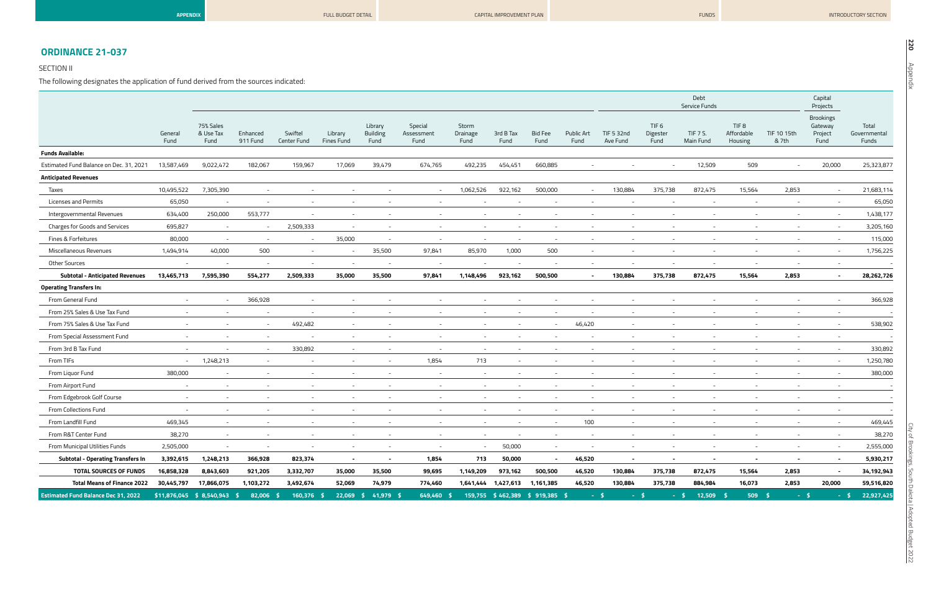| P<br><b>DO</b> |
|----------------|
| D              |

## **ORDINANCE 21-037**

#### SECTION II

The following designates the application of fund derived from the sources indicated:

|                                            |                          |                                        |                          |                        |                          |                                    |                               |                           |                                |                        |                          |                          |                                      | Debt<br>Service Funds    |                                           |                          | Capital<br>Projects                            |                                |
|--------------------------------------------|--------------------------|----------------------------------------|--------------------------|------------------------|--------------------------|------------------------------------|-------------------------------|---------------------------|--------------------------------|------------------------|--------------------------|--------------------------|--------------------------------------|--------------------------|-------------------------------------------|--------------------------|------------------------------------------------|--------------------------------|
|                                            | General<br>Fund          | 75% Sales<br>& Use Tax<br>Fund         | Enhanced<br>911 Fund     | Swiftel<br>Center Fund | Library<br>Fines Fund    | Library<br><b>Building</b><br>Fund | Special<br>Assessment<br>Fund | Storm<br>Drainage<br>Fund | 3rd B Tax<br>Fund              | <b>Bid Fee</b><br>Fund | Public Art<br>Fund       | TIF 5 32nd<br>Ave Fund   | TIF <sub>6</sub><br>Digester<br>Fund | TIF 7 S.<br>Main Fund    | TIF <sub>8</sub><br>Affordable<br>Housing | TIF 10 15th<br>& 7th     | <b>Brookings</b><br>Gateway<br>Project<br>Fund | Total<br>Governmental<br>Funds |
| <b>Funds Available:</b>                    |                          |                                        |                          |                        |                          |                                    |                               |                           |                                |                        |                          |                          |                                      |                          |                                           |                          |                                                |                                |
| Estimated Fund Balance on Dec. 31, 2021    | 13,587,469               | 9,022,472                              | 182,067                  | 159,967                | 17,069                   | 39,479                             | 674,765                       | 492,235                   | 454,451                        | 660,885                | $\sim$                   |                          |                                      | 12,509                   | 509                                       | $\overline{a}$           | 20,000                                         | 25,323,877                     |
| <b>Anticipated Revenues</b>                |                          |                                        |                          |                        |                          |                                    |                               |                           |                                |                        |                          |                          |                                      |                          |                                           |                          |                                                |                                |
| Taxes                                      | 10,495,522               | 7,305,390                              | $\sim$                   |                        |                          |                                    | $\sim$                        | 1,062,526                 | 922,162                        | 500,000                | $\sim$                   | 130,884                  | 375,738                              | 872,475                  | 15,564                                    | 2,853                    | $\sim$                                         | 21,683,114                     |
| Licenses and Permits                       | 65,050                   |                                        | $\overline{\phantom{a}}$ |                        |                          |                                    | $\overline{\phantom{a}}$      |                           |                                |                        | $\sim$                   |                          |                                      | $\overline{\phantom{a}}$ |                                           | $\overline{a}$           | $\sim$                                         | 65,050                         |
| Intergovernmental Revenues                 | 634,400                  | 250,000                                | 553,777                  |                        |                          |                                    |                               |                           |                                |                        |                          |                          |                                      |                          |                                           |                          | $\sim$                                         | 1,438,177                      |
| Charges for Goods and Services             | 695,827                  | $\sim$                                 | $\sim$                   | 2,509,333              | $\sim$                   | $\overline{\phantom{0}}$           | $\sim$                        | $\sim$                    | $\overline{\phantom{a}}$       | $\sim$                 | $\sim$                   | $-$                      | $\sim$                               | $\sim$                   |                                           | $\sim$                   | $\sim$                                         | 3,205,160                      |
| Fines & Forfeitures                        | 80,000                   | $\sim$                                 | $\sim$                   |                        | 35,000                   |                                    |                               |                           |                                |                        |                          |                          |                                      |                          |                                           |                          | $\sim$                                         | 115,000                        |
| Miscellaneous Revenues                     | 1,494,914                | 40,000                                 | 500                      | $\sim$                 |                          | 35,500                             | 97,841                        | 85,970                    | 1,000                          | 500                    | $\sim$                   |                          |                                      |                          |                                           | $\overline{\phantom{a}}$ | $\sim$                                         | 1,756,225                      |
| <b>Other Sources</b>                       | $\overline{a}$           |                                        | $\sim$                   | $\sim$                 |                          | $\overline{\phantom{a}}$           | $\overline{\phantom{a}}$      | $\overline{\phantom{a}}$  | $\overline{\phantom{a}}$       | $\sim$                 | $\sim$                   | $\sim$                   | $\sim$                               | $\sim$                   | $\sim$                                    | $-$                      | $\sim$                                         |                                |
| <b>Subtotal - Anticipated Revenues</b>     | 13,465,713               | 7,595,390                              | 554,277                  | 2,509,333              | 35,000                   | 35,500                             | 97,841                        | 1,148,496                 | 923,162                        | 500,500                | $\blacksquare$           | 130,884                  | 375,738                              | 872,475                  | 15,564                                    | 2,853                    | $\sim$                                         | 28,262,726                     |
| <b>Operating Transfers In:</b>             |                          |                                        |                          |                        |                          |                                    |                               |                           |                                |                        |                          |                          |                                      |                          |                                           |                          |                                                |                                |
| From General Fund                          |                          |                                        | 366,928                  |                        |                          |                                    |                               |                           |                                |                        |                          |                          |                                      |                          |                                           |                          | $\sim$                                         | 366,928                        |
| From 25% Sales & Use Tax Fund              |                          |                                        | $\overline{\phantom{a}}$ |                        |                          |                                    |                               |                           |                                |                        |                          |                          |                                      |                          |                                           |                          | $\overline{\phantom{a}}$                       |                                |
| From 75% Sales & Use Tax Fund              |                          | $\overline{\phantom{a}}$               | $\sim$                   | 492,482                |                          |                                    |                               |                           | $\overline{\phantom{a}}$       |                        | 46,420                   | $\sim$                   | $\sim$                               |                          |                                           | $\overline{\phantom{a}}$ | $\sim$                                         | 538,902                        |
| From Special Assessment Fund               | $\overline{a}$           |                                        | $\sim$                   | $\sim$                 |                          |                                    |                               |                           | $\overline{\phantom{a}}$       |                        | $\sim$                   | $\sim$                   |                                      |                          |                                           |                          | $\sim$                                         | $\overline{a}$                 |
| From 3rd B Tax Fund                        | $\sim$                   |                                        | $\sim$                   | 330,892                |                          |                                    |                               |                           | $\overline{\phantom{a}}$       |                        |                          |                          |                                      |                          |                                           |                          | $-$                                            | 330,892                        |
| From TIFs                                  | $\sim$                   | 1,248,213                              | $\sim$                   | $\sim$                 |                          | $\sim$                             | 1,854                         | 713                       | $\sim$                         |                        | $\sim$                   | $\overline{\phantom{a}}$ | $\sim$                               |                          |                                           | $-$                      | $\sim$                                         | 1,250,780                      |
| From Liquor Fund                           | 380,000                  | $\overline{a}$                         | $\overline{\phantom{a}}$ | $\sim$                 |                          |                                    | $\sim$                        | $\sim$                    | $\sim$                         |                        | $\sim$                   | $\sim$                   | $\sim$                               |                          |                                           | $\overline{\phantom{a}}$ | $\sim$                                         | 380,000                        |
| From Airport Fund                          | $\overline{\phantom{a}}$ | $\overline{\phantom{a}}$               | $\overline{\phantom{a}}$ | $-$                    |                          |                                    | $\overline{\phantom{a}}$      | $\overline{\phantom{a}}$  | $\overline{\phantom{a}}$       |                        | $\overline{\phantom{a}}$ | $\overline{\phantom{a}}$ |                                      |                          |                                           | $\overline{\phantom{a}}$ | $-$                                            | -                              |
| From Edgebrook Golf Course                 | $\overline{a}$           | $\sim$                                 | $\sim$                   | $\sim$                 |                          | $\overline{\phantom{0}}$           | $\sim$                        | $\sim$                    | $\overline{\phantom{a}}$       |                        | $\sim$                   | $\sim$                   | $\sim$                               | $\sim$                   |                                           | $\sim$                   | $\sim$                                         |                                |
| From Collections Fund                      |                          |                                        | $\sim$                   |                        |                          |                                    |                               |                           |                                |                        | $\sim$                   |                          |                                      |                          |                                           |                          |                                                |                                |
| From Landfill Fund                         | 469,345                  |                                        |                          |                        |                          |                                    |                               |                           |                                |                        | 100                      |                          |                                      |                          |                                           |                          |                                                | 469,445                        |
| From R&T Center Fund                       | 38,270                   | $\sim$                                 | $\overline{\phantom{a}}$ |                        | $\overline{\phantom{a}}$ |                                    | $\overline{\phantom{a}}$      | $\sim$                    | $\overline{\phantom{a}}$       |                        | $\sim$                   |                          | $\sim$                               | $\sim$                   |                                           | $-$                      | $\sim$                                         | 38,270                         |
| From Municipal Utilities Funds             | 2,505,000                | $\sim$                                 | $\overline{\phantom{a}}$ | $\sim$                 | $-$                      | $\sim$                             | $\sim$                        | $\sim$                    | 50,000                         | $\sim$                 | $\sim$                   | $\sim$                   | $\sim$                               | $\overline{\phantom{a}}$ | $\sim$                                    | $\sim$                   | $\sim$                                         | 2,555,000                      |
| <b>Subtotal - Operating Transfers In</b>   | 3,392,615                | 1,248,213                              | 366,928                  | 823,374                | $\sim$                   | $\sim$                             | 1,854                         | 713                       | 50,000                         | $\sim$                 | 46,520                   | $\sim$                   | $\sim$                               | $\sim$                   | $\sim$                                    | $\sim$                   | $\sim$                                         | 5,930,217                      |
| <b>TOTAL SOURCES OF FUNDS</b>              | 16,858,328               | 8,843,603                              | 921,205                  | 3,332,707              | 35,000                   | 35,500                             | 99,695                        | 1,149,209                 | 973,162                        | 500,500                | 46,520                   | 130,884                  | 375,738                              | 872,475                  | 15,564                                    | 2,853                    | $\sim$                                         | 34,192,943                     |
| <b>Total Means of Finance 2022</b>         | 30,445,797               | 17,866,075                             | 1,103,272                | 3,492,674              | 52,069                   | 74,979                             | 774,460                       |                           | 1,641,444 1,427,613 1,161,385  |                        | 46,520                   | 130,884                  | 375,738                              | 884,984                  | 16,073                                    | 2,853                    | 20,000                                         | 59,516,820                     |
| <b>Estimated Fund Balance Dec 31, 2022</b> |                          | $$11,876,045 \quad $8,540,943 \quad $$ | 82,006 \$                | $160,376$ \$           |                          | 22,069 \$ 41,979 \$                | 649,460 \$                    |                           | 159,755 \$462,389 \$919,385 \$ |                        |                          | $-5$                     | $-5$                                 | $-5$<br>$12,509$ \$      | $509$ \$                                  |                          | $-5$<br>$-5$                                   | 22,927,425                     |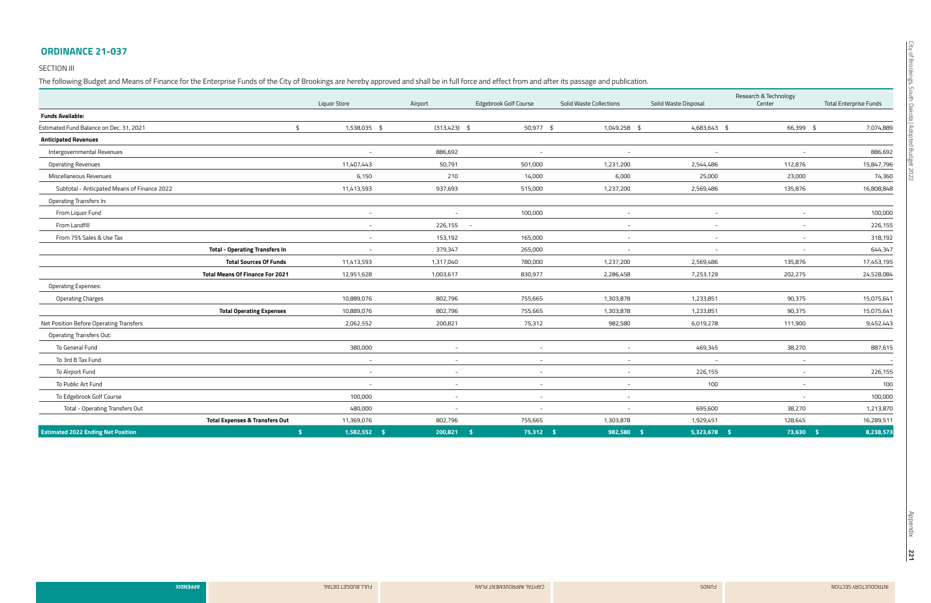#### **ORDINANCE 21-037**

#### SECTION III

The following Budget and Means of Finance for the Enterprise Funds of the City of Brookings are hereby approved and shall be in full force and effect from and after its passage and publication.

|                                             |                                           | Liquor Store   | Airport         | Edgebrook Golf Course    | <b>Solid Waste Collections</b> | Solid Waste Disposal | Research & Technology<br>Center | <b>Total Enterprise Funds</b> |
|---------------------------------------------|-------------------------------------------|----------------|-----------------|--------------------------|--------------------------------|----------------------|---------------------------------|-------------------------------|
| <b>Funds Available:</b>                     |                                           |                |                 |                          |                                |                      |                                 |                               |
| Estimated Fund Balance on Dec. 31, 2021     | $\frac{4}{5}$                             | 1,538,035 \$   | $(313, 423)$ \$ | 50,977 \$                | 1,049,258 \$                   | 4,683,643 \$         | 66,399 \$                       | 7,074,889                     |
| <b>Anticipated Revenues</b>                 |                                           |                |                 |                          |                                |                      |                                 |                               |
| Intergovernmental Revenues                  |                                           | $\sim$         | 886,692         | $\overline{a}$           | $\sim$                         | $\overline{a}$       | $\overline{\phantom{a}}$        | 886,692                       |
| <b>Operating Revenues</b>                   |                                           | 11,407,443     | 50,791          | 501,000                  | 1,231,200                      | 2,544,486            | 112,876                         | 15,847,796                    |
| Miscellaneous Revenues                      |                                           | 6,150          | 210             | 14,000                   | 6,000                          | 25,000               | 23,000                          | 74,360                        |
| Subtotal - Anticpated Means of Finance 2022 |                                           | 11,413,593     | 937,693         | 515,000                  | 1,237,200                      | 2,569,486            | 135,876                         | 16,808,848                    |
| Operating Transfers In:                     |                                           |                |                 |                          |                                |                      |                                 |                               |
| From Liquor Fund                            |                                           | $\sim$         | $\sim$          | 100,000                  | $\sim$                         | $\sim$               | $\sim$                          | 100,000                       |
| From Landfill                               |                                           | $\sim$         | 226,155 -       |                          | $\sim$                         | $\sim$               | $\sim$                          | 226,155                       |
| From 75% Sales & Use Tax                    |                                           | $\sim$         | 153,192         | 165,000                  | $\sim$                         | $\sim$               | $\sim$                          | 318,192                       |
|                                             | <b>Total - Operating Transfers In</b>     | $\sim$         | 379,347         | 265,000                  | $\sim$                         | $\sim$               | $\sim$                          | 644,347                       |
|                                             | <b>Total Sources Of Funds</b>             | 11,413,593     | 1,317,040       | 780,000                  | 1,237,200                      | 2,569,486            | 135,876                         | 17,453,195                    |
|                                             | <b>Total Means Of Finance For 2021</b>    | 12,951,628     | 1,003,617       | 830,977                  | 2,286,458                      | 7,253,129            | 202,275                         | 24,528,084                    |
| <b>Operating Expenses:</b>                  |                                           |                |                 |                          |                                |                      |                                 |                               |
| <b>Operating Charges</b>                    |                                           | 10,889,076     | 802,796         | 755,665                  | 1,303,878                      | 1,233,851            | 90,375                          | 15,075,641                    |
|                                             | <b>Total Operating Expenses</b>           | 10,889,076     | 802,796         | 755,665                  | 1,303,878                      | 1,233,851            | 90,375                          | 15,075,641                    |
| Net Position Before Operating Transfers     |                                           | 2,062,552      | 200,821         | 75,312                   | 982,580                        | 6,019,278            | 111,900                         | 9,452,443                     |
| <b>Operating Transfers Out:</b>             |                                           |                |                 |                          |                                |                      |                                 |                               |
| To General Fund                             |                                           | 380,000        |                 | $\overline{\phantom{a}}$ | $\sim$                         | 469,345              | 38,270                          | 887,615                       |
| To 3rd B Tax Fund                           |                                           | $\sim$         | $\sim$          | $\sim$                   | $\sim$                         | $\sim$               | $\sim$                          | $\overline{\phantom{a}}$      |
| To Airport Fund                             |                                           | $\sim$         | $\sim$          | $\sim$                   | $\sim$                         | 226,155              | $\sim$                          | 226,155                       |
| To Public Art Fund                          |                                           | $\sim$         | $\sim$          | $\sim$                   | $\sim$                         | 100                  | $\sim$                          | 100                           |
| To Edgebrook Golf Course                    |                                           | 100,000        | $\sim$          | $\sim$                   | $\sim$                         |                      | $\sim$                          | 100,000                       |
| <b>Total - Operating Transfers Out</b>      |                                           | 480,000        | $\sim$          | $\sim$                   | $\overline{\phantom{a}}$       | 695,600              | 38,270                          | 1,213,870                     |
|                                             | <b>Total Expenses &amp; Transfers Out</b> | 11,369,076     | 802,796         | 755,665                  | 1,303,878                      | 1,929,451            | 128,645                         | 16,289,511                    |
| <b>Estimated 2022 Ending Net Position</b>   | -\$                                       | $1,582,552$ \$ | 200,821         | $75,312$ \$<br>- \$      | 982,580<br>- \$                | $5,323,678$ \$       | $73,630$ \$                     | 8,238,573                     |